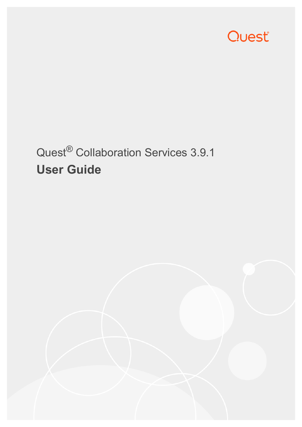

# Quest® Collaboration Services 3.9.1 **User Guide**

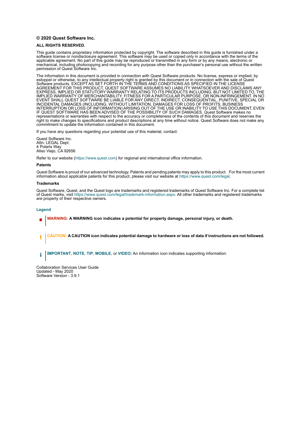#### **© 2020 Quest Software Inc.**

#### **ALL RIGHTS RESERVED.**

This guide contains proprietary information protected by copyright. The software described in this guide is furnished under a software license or nondisclosure agreement. This software may be used or copied only in accordance with the terms of the applicable agreement. No part of this guide may be reproduced or transmitted in any form or by any means, electronic or mechanical, including photocopying and recording for any purpose other than the purchaser's personal use without the written permission of Quest Software Inc.

The information in this document is provided in connection with Quest Software products. No license, express or implied, by estoppel or otherwise, to any intellectual property right is granted by this document or in connection with the sale of Quest<br>Software products. EXCEPT AS SET FORTH IN THE TERMS AND CONDITIONS AS SPECIFIED IN THE LICENSE<br>A EXPRESS, IMPLIED OR STATUTORY WARRANTY RELATING TO ITS PRODUCTS INCLUDING, BUT NOT LIMITED TO, THE IMPLIED WARRANTY OF MERCHANTABILITY, FITNESS FOR A PARTICULAR PURPOSE, OR NON-INFRINGEMENT. IN NO EVENT SHALL QUEST SOFTWARE BE LIABLE FOR ANY DIRECT, INDIRECT, CONSEQUENTIAL, PUNITIVE, SPECIAL OR INCIDENTAL DAMAGES (INCLUDING, WITHOUT LIMITATION, DAMAGES FOR LOSS OF PROFITS, BUSINESS<br>INTERRUPTION OR LOSS OF INFORMATION) ARISING OUT OF THE USE OR INABILITY TO USE THIS DOCUMENT, EVEN IF QUEST SOFTWARE HAS BEEN ADVISED OF THE POSSIBILITY OF SUCH DAMAGES. Quest Software makes no representations or warranties with respect to the accuracy or completeness of the contents of this document and reserves the right to make changes to specifications and product descriptions at any time without notice. Quest Software does not make any commitment to update the information contained in this document.

If you have any questions regarding your potential use of this material, contact:

Quest Software Inc. Attn: LEGAL Dept. 4 Polaris Way Aliso Viejo, CA 92656

Refer to our website [\(https://www.quest.com](https://www.quest.com)) for regional and international office information.

#### **Patents**

Quest Software is proud of our advanced technology. Patents and pending patents may apply to this product. For the most current information about applicable patents for this product, please visit our website at [https://www.quest.com/legal.](https://www.quest.com/legal)

#### **Trademarks**

Quest Software, Quest, and the Quest logo are trademarks and registered trademarks of Quest Software Inc. For a complete list of Quest marks, visit <https://www.quest.com/legal/trademark-information.aspx>. All other trademarks and registered trademarks are property of their respective owners.

#### **Legend**

- **WARNING: A WARNING icon indicates a potential for property damage, personal injury, or death.**
- **CAUTION: A CAUTION icon indicates potential damage to hardware or loss of data if instructions are not followed.** Ţ

**IMPORTANT**, **NOTE**, **TIP**, **MOBILE**, or **VIDEO:** An information icon indicates supporting information.î.

Collaboration Services User Guide Updated - May 2020 Software Version - 3.9.1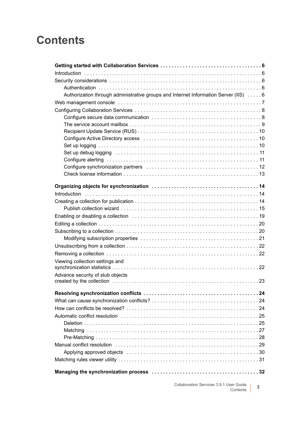## **Contents**

| Authorization through administrative groups and Internet Information Server (IIS)  6 |   |
|--------------------------------------------------------------------------------------|---|
|                                                                                      |   |
|                                                                                      |   |
|                                                                                      |   |
|                                                                                      |   |
|                                                                                      |   |
|                                                                                      |   |
|                                                                                      |   |
|                                                                                      |   |
|                                                                                      |   |
|                                                                                      |   |
|                                                                                      |   |
|                                                                                      |   |
|                                                                                      |   |
|                                                                                      |   |
|                                                                                      |   |
|                                                                                      |   |
|                                                                                      |   |
|                                                                                      |   |
|                                                                                      |   |
|                                                                                      |   |
|                                                                                      |   |
| Viewing collection settings and                                                      |   |
|                                                                                      |   |
| Advance security of stub objects                                                     |   |
|                                                                                      |   |
|                                                                                      |   |
|                                                                                      |   |
|                                                                                      |   |
|                                                                                      |   |
|                                                                                      |   |
|                                                                                      |   |
|                                                                                      |   |
|                                                                                      |   |
|                                                                                      |   |
|                                                                                      |   |
|                                                                                      |   |
|                                                                                      |   |
|                                                                                      |   |
| Collaboration Services 3.9.1 User Guide<br>Contents                                  | 3 |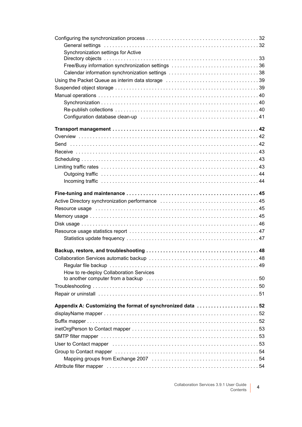| General settings (and all and all and all and all and all and all and all and all and all and all and all and a                                                                                                                |
|--------------------------------------------------------------------------------------------------------------------------------------------------------------------------------------------------------------------------------|
| Synchronization settings for Active                                                                                                                                                                                            |
|                                                                                                                                                                                                                                |
|                                                                                                                                                                                                                                |
|                                                                                                                                                                                                                                |
|                                                                                                                                                                                                                                |
|                                                                                                                                                                                                                                |
|                                                                                                                                                                                                                                |
|                                                                                                                                                                                                                                |
|                                                                                                                                                                                                                                |
|                                                                                                                                                                                                                                |
|                                                                                                                                                                                                                                |
|                                                                                                                                                                                                                                |
|                                                                                                                                                                                                                                |
|                                                                                                                                                                                                                                |
|                                                                                                                                                                                                                                |
|                                                                                                                                                                                                                                |
|                                                                                                                                                                                                                                |
|                                                                                                                                                                                                                                |
|                                                                                                                                                                                                                                |
|                                                                                                                                                                                                                                |
|                                                                                                                                                                                                                                |
| Resource usage (and according to the control of the control of the control of the control of the control of the control of the control of the control of the control of the control of the control of the control of the contr |
|                                                                                                                                                                                                                                |
|                                                                                                                                                                                                                                |
|                                                                                                                                                                                                                                |
|                                                                                                                                                                                                                                |
|                                                                                                                                                                                                                                |
|                                                                                                                                                                                                                                |
|                                                                                                                                                                                                                                |
|                                                                                                                                                                                                                                |
| How to re-deploy Collaboration Services                                                                                                                                                                                        |
|                                                                                                                                                                                                                                |
|                                                                                                                                                                                                                                |
|                                                                                                                                                                                                                                |
| Appendix A: Customizing the format of synchronized data 52                                                                                                                                                                     |
|                                                                                                                                                                                                                                |
|                                                                                                                                                                                                                                |
|                                                                                                                                                                                                                                |
|                                                                                                                                                                                                                                |
|                                                                                                                                                                                                                                |
|                                                                                                                                                                                                                                |
|                                                                                                                                                                                                                                |
|                                                                                                                                                                                                                                |
|                                                                                                                                                                                                                                |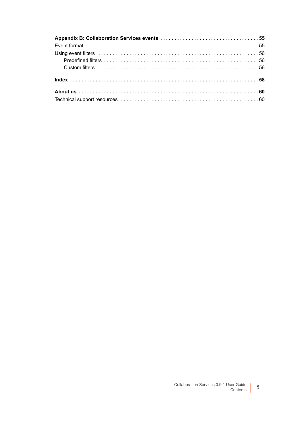5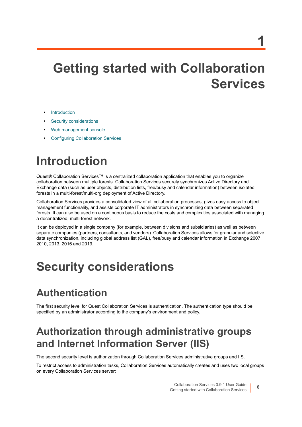# <span id="page-5-0"></span>**Getting started with Collaboration Services**

- **•** [Introduction](#page-5-1)
- **•** [Security considerations](#page-5-2)
- **•** [Web management console](#page-6-0)
- **•** [Configuring Collaboration Services](#page-7-0)

# <span id="page-5-1"></span>**Introduction**

Quest® Collaboration Services™ is a centralized collaboration application that enables you to organize collaboration between multiple forests. Collaboration Services securely synchronizes Active Directory and Exchange data (such as user objects, distribution lists, free/busy and calendar information) between isolated forests in a multi-forest/multi-org deployment of Active Directory.

Collaboration Services provides a consolidated view of all collaboration processes, gives easy access to object management functionality, and assists corporate IT administrators in synchronizing data between separated forests. It can also be used on a continuous basis to reduce the costs and complexities associated with managing a decentralized, multi-forest network.

It can be deployed in a single company (for example, between divisions and subsidiaries) as well as between separate companies (partners, consultants, and vendors). Collaboration Services allows for granular and selective data synchronization, including global address list (GAL), free/busy and calendar information in Exchange 2007, 2010, 2013, 2016 and 2019.

# <span id="page-5-2"></span>**Security considerations**

## <span id="page-5-3"></span>**Authentication**

The first security level for Quest Collaboration Services is authentication. The authentication type should be specified by an administrator according to the company's environment and policy.

## <span id="page-5-4"></span>**Authorization through administrative groups and Internet Information Server (IIS)**

The second security level is authorization through Collaboration Services administrative groups and IIS.

To restrict access to administration tasks, Collaboration Services automatically creates and uses two local groups on every Collaboration Services server: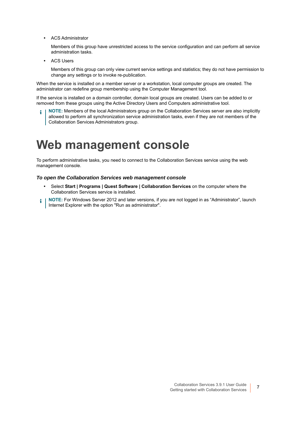**•** ACS Administrator

Members of this group have unrestricted access to the service configuration and can perform all service administration tasks.

**•** ACS Users

Members of this group can only view current service settings and statistics; they do not have permission to change any settings or to invoke re-publication.

When the service is installed on a member server or a workstation, local computer groups are created. The administrator can redefine group membership using the Computer Management tool.

If the service is installed on a domain controller, domain local groups are created. Users can be added to or removed from these groups using the Active Directory Users and Computers administrative tool.

<span id="page-6-1"></span>**NOTE:** Members of the local Administrators group on the Collaboration Services server are also implicitly ÷ allowed to perform all synchronization service administration tasks, even if they are not members of the Collaboration Services Administrators group.

# <span id="page-6-0"></span>**Web management console**

To perform administrative tasks, you need to connect to the Collaboration Services service using the web management console.

#### *To open the Collaboration Services web management console*

- **•** Select **Start | Programs | Quest Software | Collaboration Services** on the computer where the Collaboration Services service is installed.
- **NOTE:** For Windows Server 2012 and later versions, if you are not logged in as "Administrator", launch ÷ Internet Explorer with the option "Run as administrator".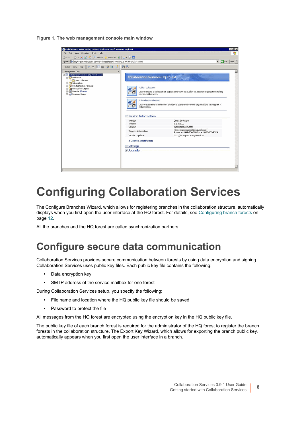**Figure 1. The web management console main window**

| Collaboration Services (HO Forest-Local) - Microsoft Internet Explorer                                                                         |                       |                                                               |                                                                                             | $-0x$               |
|------------------------------------------------------------------------------------------------------------------------------------------------|-----------------------|---------------------------------------------------------------|---------------------------------------------------------------------------------------------|---------------------|
| File Edit View Favorites Tools Help                                                                                                            |                       |                                                               |                                                                                             | 衞                   |
|                                                                                                                                                |                       |                                                               |                                                                                             |                     |
| ◎ Back → ◎ → ■ 2 → 2 → Search ☆ Favorites ※ ◎ ☆ → △ □                                                                                          |                       |                                                               |                                                                                             |                     |
| Address E:\Program Files\Quest Software\Collaboration Services\3.1.395.00\QCSLocal.html                                                        |                       |                                                               | $\bullet$ $\bullet$ Go                                                                      | Links <sup>33</sup> |
| Help<br>Action View                                                                                                                            | 医恩                    |                                                               |                                                                                             |                     |
| Management Tree<br>$\times$                                                                                                                    |                       |                                                               |                                                                                             | Ä                   |
| E X Collaboration Services (HQ Forest-Local)<br><b>Publication</b><br>New Collection<br>El Subscription<br><b>B C</b> Synchronization Partners |                       | <b>Collaboration Services HQ Forest</b><br>Publish collection |                                                                                             |                     |
| Non-Applied Objects<br>由<br>$\sqrt{4}$ Events (3 new)<br>œ.<br><b>E M</b> Resource Usage                                                       |                       | part in collaboration.                                        | Click to create a collection of objects you want to publish to another organizations taking |                     |
|                                                                                                                                                |                       | Subscribe to collection                                       |                                                                                             |                     |
|                                                                                                                                                |                       | colaboration.                                                 | Click to subscribe to collection of objects published by other organizations taking part in |                     |
|                                                                                                                                                | ElVersion Information |                                                               |                                                                                             |                     |
|                                                                                                                                                | Vendor                |                                                               | <b>Ouest Software</b>                                                                       |                     |
|                                                                                                                                                | Version               |                                                               | 3.1.395.00                                                                                  |                     |
|                                                                                                                                                | Contact               |                                                               | support@quest.com                                                                           |                     |
|                                                                                                                                                | Support information   |                                                               | http://questsupportlink.quest.com/<br>Phone: +1-949-754-8000 or +1-800-306-9329             |                     |
|                                                                                                                                                | Product updates       |                                                               | http://wm.quest.com/download                                                                |                     |
|                                                                                                                                                |                       | <b>ELicense Information</b>                                   |                                                                                             |                     |
|                                                                                                                                                | <b>ESettings</b>      |                                                               |                                                                                             |                     |
|                                                                                                                                                | EUpgrade              |                                                               |                                                                                             |                     |
|                                                                                                                                                |                       |                                                               |                                                                                             |                     |
|                                                                                                                                                |                       |                                                               |                                                                                             |                     |
|                                                                                                                                                |                       |                                                               |                                                                                             |                     |
|                                                                                                                                                |                       |                                                               |                                                                                             |                     |
|                                                                                                                                                |                       |                                                               |                                                                                             |                     |

# <span id="page-7-0"></span>**Configuring Collaboration Services**

The Configure Branches Wizard, which allows for registering branches in the collaboration structure, automatically displays when you first open the user interface at the HQ forest. For details, see [Configuring branch forests on](#page-11-1)  [page 12](#page-11-1).

All the branches and the HQ forest are called synchronization partners.

### <span id="page-7-1"></span>**Configure secure data communication**

Collaboration Services provides secure communication between forests by using data encryption and signing. Collaboration Services uses public key files. Each public key file contains the following:

- **•** Data encryption key
- **•** SMTP address of the service mailbox for one forest

During Collaboration Services setup, you specify the following:

- **•** File name and location where the HQ public key file should be saved
- **•** Password to protect the file

All messages from the HQ forest are encrypted using the encryption key in the HQ public key file.

The public key file of each branch forest is required for the administrator of the HQ forest to register the branch forests in the collaboration structure. The Export Key Wizard, which allows for exporting the branch public key, automatically appears when you first open the user interface in a branch.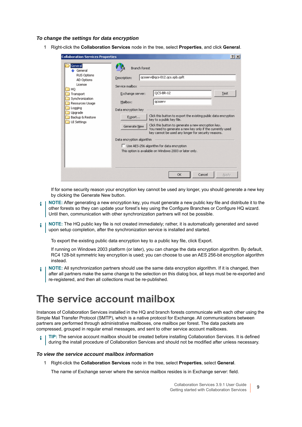#### *To change the settings for data encryption*

1 Right-click the **Collaboration Services** node in the tree, select **Properties**, and click **General**.

If for some security reason your encryption key cannot be used any longer, you should generate a new key by clicking the Generate New button.

- **NOTE:** After generating a new encryption key, you must generate a new public key file and distribute it to the ÷ other forests so they can update your forest's key using the Configure Branches or Configure HQ wizard. Until then, communication with other synchronization partners will not be possible.
- **NOTE:** The HQ public key file is not created immediately; rather, it is automatically generated and saved i upon setup completion, after the synchronization service is installed and started.

To export the existing public data encryption key to a public key file, click Export.

If running on Windows 2003 platform (or later), you can change the data encryption algorithm. By default, RC4 128-bit symmetric key encryption is used; you can choose to use an AES 256-bit encryption algorithm instead.

**NOTE:** All synchronization partners should use the same data encryption algorithm. If it is changed, then ÷. after all partners make the same change to the selection on this dialog box, all keys must be re-exported and re-registered, and then all collections must be re-published.

### <span id="page-8-0"></span>**The service account mailbox**

Instances of Collaboration Services installed in the HQ and branch forests communicate with each other using the Simple Mail Transfer Protocol (SMTP), which is a native protocol for Exchange. All communications between partners are performed through administrative mailboxes, one mailbox per forest. The data packets are compressed, grouped in regular email messages, and sent to other service account mailboxes.

**TIP:** The service account mailbox should be created before installing Collaboration Services. It is defined ÷. during the install procedure of Collaboration Services and should not be modified after unless necessary.

#### *To view the service account mailbox information*

1 Right-click the **Collaboration Services** node in the tree, select **Properties**, select **General**.

The name of Exchange server where the service mailbox resides is in Exchange server: field.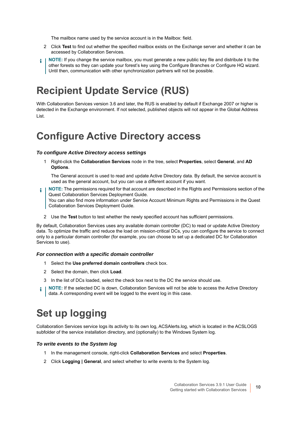The mailbox name used by the service account is in the Mailbox: field.

- 2 Click **Test** to find out whether the specified mailbox exists on the Exchange server and whether it can be accessed by Collaboration Services.
- **NOTE:** If you change the service mailbox, you must generate a new public key file and distribute it to the other forests so they can update your forest's key using the Configure Branches or Configure HQ wizard. Until then, communication with other synchronization partners will not be possible.

## <span id="page-9-0"></span>**Recipient Update Service (RUS)**

With Collaboration Services version 3.6 and later, the RUS is enabled by default if Exchange 2007 or higher is detected in the Exchange environment. If not selected, published objects will not appear in the Global Address List.

### <span id="page-9-1"></span>**Configure Active Directory access**

#### <span id="page-9-3"></span>*To configure Active Directory access settings*

1 Right-click the **Collaboration Services** node in the tree, select **Properties**, select **General**, and **AD Options**.

The General account is used to read and update Active Directory data. By default, the service account is used as the general account, but you can use a different account if you want.

- **NOTE:** The permissions required for that account are described in the Rights and Permissions section of the ÷ Quest Collaboration Services Deployment Guide. You can also find more information under Service Account Minimum Rights and Permissions in the Quest Collaboration Services Deployment Guide.
	- 2 Use the **Test** button to test whether the newly specified account has sufficient permissions.

By default, Collaboration Services uses any available domain controller (DC) to read or update Active Directory data. To optimize the traffic and reduce the load on mission-critical DCs, you can configure the service to connect only to a particular domain controller (for example, you can choose to set up a dedicated DC for Collaboration Services to use).

#### *For connection with a specific domain controller*

- 1 Select the **Use preferred domain controllers** check box.
- 2 Select the domain, then click **Load**.
- 3 In the list of DCs loaded, select the check box next to the DC the service should use.
- <span id="page-9-4"></span>**NOTE:** If the selected DC is down, Collaboration Services will not be able to access the Active Directory i data. A corresponding event will be logged to the event log in this case.

## <span id="page-9-2"></span>**Set up logging**

Collaboration Services service logs its activity to its own log, ACSAlerts.log, which is located in the ACSLOGS subfolder of the service installation directory, and (optionally) to the Windows System log.

#### *To write events to the System log*

- 1 In the management console, right-click **Collaboration Services** and select **Properties**.
- 2 Click **Logging | General**, and select whether to write events to the System log.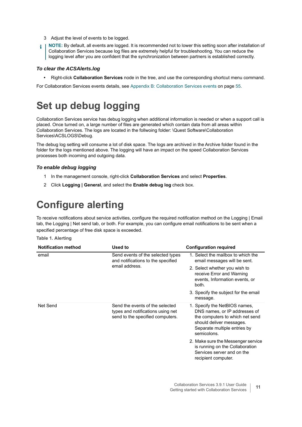- 3 Adjust the level of events to be logged.
- **NOTE:** By default, all events are logged. It is recommended not to lower this setting soon after installation of i Collaboration Services because log files are extremely helpful for troubleshooting. You can reduce the logging level after you are confident that the synchronization between partners is established correctly.

#### *To clear the ACSAlerts.log*

**•** Right-click **Collaboration Services** node in the tree, and use the corresponding shortcut menu command.

For Collaboration Services events details, see [Appendix B: Collaboration Services events on page 55.](#page-54-2)

## <span id="page-10-0"></span>**Set up debug logging**

Collaboration Services service has debug logging when additional information is needed or when a support call is placed. Once turned on, a large number of files are generated which contain data from all areas within Collaboration Services. The logs are located in the follwoing folder: \Quest Software\Collaboration Services\ACSLOGS\Debug.

The debug log setting will consume a lot of disk space. The logs are archived in the Archive folder found in the folder for the logs mentioned above. The logging will have an impact on the speed Collaboration Services processes both incoming and outgoing data.

#### *To enable debug logging*

- 1 In the management console, right-click **Collaboration Services** and select **Properties**.
- <span id="page-10-2"></span>2 Click **Logging | General**, and select the **Enable debug log** check box.

## <span id="page-10-1"></span>**Configure alerting**

To receive notifications about service activities, configure the required notification method on the Logging | Email tab, the Logging | Net send tab, or both. For example, you can configure email notifications to be sent when a specified percentage of free disk space is exceeded.

**Table 1. Alerting**

| <b>Notification method</b> | Used to                                                                                                  | <b>Configuration required</b>                                                                                                                                                |
|----------------------------|----------------------------------------------------------------------------------------------------------|------------------------------------------------------------------------------------------------------------------------------------------------------------------------------|
| email                      | Send events of the selected types<br>and notifications to the specified                                  | 1. Select the mailbox to which the<br>email messages will be sent.                                                                                                           |
|                            | email address.                                                                                           | 2. Select whether you wish to<br>receive Error and Warning<br>events, Information events, or<br>both.                                                                        |
|                            |                                                                                                          | 3. Specify the subject for the email<br>message.                                                                                                                             |
| Net Send                   | Send the events of the selected<br>types and notifications using net<br>send to the specified computers. | 1. Specify the NetBIOS names,<br>DNS names, or IP addresses of<br>the computers to which net send<br>should deliver messages.<br>Separate multiple entries by<br>semicolons. |
|                            |                                                                                                          | 2. Make sure the Messenger service<br>is running on the Collaboration<br>Services server and on the<br>recipient computer.                                                   |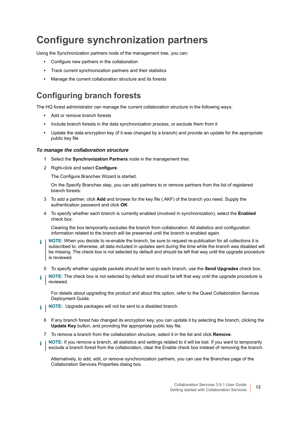## <span id="page-11-2"></span><span id="page-11-0"></span>**Configure synchronization partners**

Using the Synchronization partners node of the management tree, you can:

- **•** Configure new partners in the collaboration
- **•** Track current synchronization partners and their statistics
- **•** Manage the current collaboration structure and its forests

### <span id="page-11-1"></span>**Configuring branch forests**

The HQ forest administrator can manage the current collaboration structure in the following ways:

- **•** Add or remove branch forests
- **•** Include branch forests in the data synchronization process, or exclude them from it
- **•** Update the data encryption key (if it was changed by a branch) and provide an update for the appropriate public key file

#### *To manage the collaboration structure*

- 1 Select the **Synchronization Partners** node in the management tree.
- 2 Right-click and select **Configure**.

The Configure Branches Wizard is started.

On the Specify Branches step, you can add partners to or remove partners from the list of registered branch forests:

- 3 To add a partner, click **Add** and browse for the key file (.AKF) of the branch you need. Supply the authentication password and click **OK**.
- 4 To specify whether each branch is currently enabled (involved in synchronization), select the **Enabled** check box.

Clearing the box temporarily excludes the branch from collaboration. All statistics and configuration information related to the branch will be preserved until the branch is enabled again.

- **NOTE:** When you decide to re-enable the branch, be sure to request re-publication for all collections it is ÷ subscribed to; otherwise, all data included in updates sent during the time while the branch was disabled will be missing. The check box is not selected by default and should be left that way until the upgrade procedure is reviewed.
	- 5 To specify whether upgrade packets should be sent to each branch, use the **Send Upgrades** check box.
- **NOTE:** The check box is not selected by default and should be left that way until the upgrade procedure is reviewed.

For details about upgrading the product and about this option, refer to the Quest Collaboration Services Deployment Guide.

- **i** | NOTE: Upgrade packages will not be sent to a disabled branch.
	- 6 If any branch forest has changed its encryption key, you can update it by selecting the branch, clicking the **Update Key** button, and providing the appropriate public key file.
	- 7 To remove a branch from the collaboration structure, select it in the list and click **Remove**.
- **NOTE:** If you remove a branch, all statistics and settings related to it will be lost. If you want to temporarily exclude a branch forest from the collaboration, clear the Enable check box instead of removing the branch.

Alternatively, to add, edit, or remove synchronization partners, you can use the Branches page of the Collaboration Services Properties dialog box.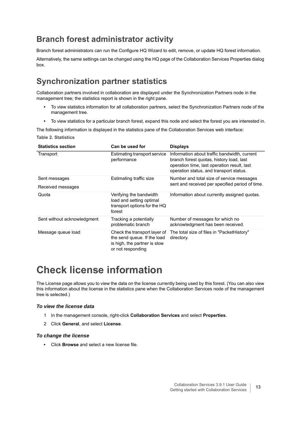### **Branch forest administrator activity**

Branch forest administrators can run the Configure HQ Wizard to edit, remove, or update HQ forest information.

Alternatively, the same settings can be changed using the HQ page of the Collaboration Services Properties dialog box.

### **Synchronization partner statistics**

Collaboration partners involved in collaboration are displayed under the Synchronization Partners node in the management tree; the statistics report is shown in the right pane.

- **•** To view statistics information for all collaboration partners, select the Synchronization Partners node of the management tree.
- **•** To view statistics for a particular branch forest, expand this node and select the forest you are interested in.

The following information is displayed in the statistics pane of the Collaboration Services web interface: **Table 2. Statistics**

| <b>Statistics section</b>   | Can be used for                                                                                                  | <b>Displays</b>                                                                                                                                                                    |
|-----------------------------|------------------------------------------------------------------------------------------------------------------|------------------------------------------------------------------------------------------------------------------------------------------------------------------------------------|
| Transport                   | Estimating transport service<br>performance                                                                      | Information about traffic bandwidth, current<br>branch forest quotas, history load, last<br>operation time, last operation result, last<br>operation status, and transport status. |
| Sent messages               | Estimating traffic size                                                                                          | Number and total size of service messages                                                                                                                                          |
| Received messages           |                                                                                                                  | sent and received per specified period of time.                                                                                                                                    |
| Quota                       | Verifying the bandwidth<br>load and setting optimal<br>transport options for the HQ<br>forest                    | Information about currently assigned quotas.                                                                                                                                       |
| Sent without acknowledgment | Tracking a potentially<br>problematic branch                                                                     | Number of messages for which no<br>acknowledgment has been received.                                                                                                               |
| Message queue load          | Check the transport layer of<br>the send queue. If the load<br>is high, the partner is slow<br>or not responding | The total size of files in "PacketHistory"<br>directory.                                                                                                                           |

### <span id="page-12-0"></span>**Check license information**

The License page allows you to view the data on the license currently being used by this forest. (You can also view this information about the license in the statistics pane when the Collaboration Services node of the management tree is selected.)

#### *To view the license data*

- 1 In the management console, right-click **Collaboration Services** and select **Properties**.
- 2 Click **General**, and select **License**.

#### *To change the license*

**•** Click **Browse** and select a new license file.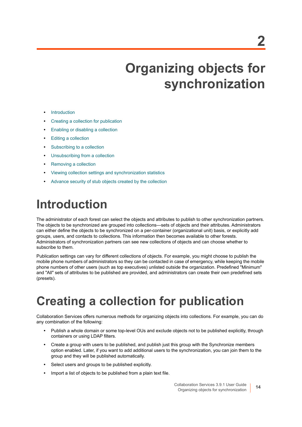# **Organizing objects for synchronization**

- <span id="page-13-0"></span>**•** [Introduction](#page-13-1)
- **•** [Creating a collection for publication](#page-13-2)
- **•** [Enabling or disabling a collection](#page-18-0)
- **•** [Editing a collection](#page-19-0)
- **•** [Subscribing to a collection](#page-19-1)
- **•** [Unsubscribing from a collection](#page-21-0)
- **•** [Removing a collection](#page-21-1)
- **•** [Viewing collection settings and synchronization statistics](#page-21-2)
- **•** [Advance security of stub objects created by the collection](#page-22-0)

# <span id="page-13-1"></span>**Introduction**

The administrator of each forest can select the objects and attributes to publish to other synchronization partners. The objects to be synchronized are grouped into collections—sets of objects and their attributes. Administrators can either define the objects to be synchronized on a per-container (organizational unit) basis, or explicitly add groups, users, and contacts to collections. This information then becomes available to other forests. Administrators of synchronization partners can see new collections of objects and can choose whether to subscribe to them.

Publication settings can vary for different collections of objects. For example, you might choose to publish the mobile phone numbers of administrators so they can be contacted in case of emergency, while keeping the mobile phone numbers of other users (such as top executives) unlisted outside the organization. Predefined "Minimum" and "All" sets of attributes to be published are provided, and administrators can create their own predefined sets (presets).

# <span id="page-13-3"></span><span id="page-13-2"></span>**Creating a collection for publication**

Collaboration Services offers numerous methods for organizing objects into collections. For example, you can do any combination of the following:

- **•** Publish a whole domain or some top-level OUs and exclude objects not to be published explicitly, through containers or using LDAP filters.
- **•** Create a group with users to be published, and publish just this group with the Synchronize members option enabled. Later, if you want to add additional users to the synchronization, you can join them to the group and they will be published automatically.
- **•** Select users and groups to be published explicitly.
- **•** Import a list of objects to be published from a plain text file.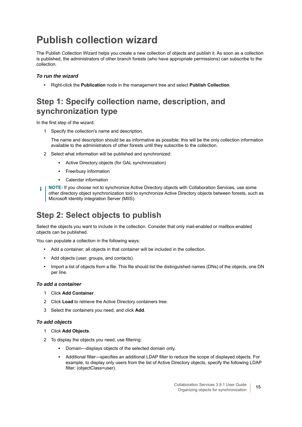## <span id="page-14-1"></span><span id="page-14-0"></span>**Publish collection wizard**

The Publish Collection Wizard helps you create a new collection of objects and publish it. As soon as a collection is published, the administrators of other branch forests (who have appropriate permissions) can subscribe to the collection.

#### *To run the wizard*

**•** Right-click the **Publication** node in the management tree and select **Publish Collection**.

### **Step 1: Specify collection name, description, and synchronization type**

In the first step of the wizard:

1 Specify the collection's name and description.

The name and description should be as informative as possible; this will be the only collection information available to the administrators of other forests until they subscribe to the collection.

- 2 Select what information will be published and synchronized:
	- **▪** Active Directory objects (for GAL synchronization)
	- **▪** Free/busy information
	- **▪** Calendar information
- **NOTE:** If you choose not to synchronize Active Directory objects with Collaboration Services, use some other directory object synchronization tool to synchronize Active Directory objects between forests, such as Microsoft Identity Integration Server (MIIS).

### **Step 2: Select objects to publish**

Select the objects you want to include in the collection. Consider that only mail-enabled or mailbox-enabled objects can be published.

You can populate a collection in the following ways:

- **•** Add a container; all objects in that container will be included in the collection.
- **•** Add objects (user, groups, and contacts).
- **•** Import a list of objects from a file. This file should list the distinguished names (DNs) of the objects, one DN per line.

#### *To add a container*

- 1 Click **Add Container**.
- 2 Click **Load** to retrieve the Active Directory containers tree.
- 3 Select the containers you need, and click **Add**.

#### *To add objects*

- 1 Click **Add Objects**.
- 2 To display the objects you need, use filtering:
	- **▪** Domain—displays objects of the selected domain only.
	- **▪** Additional filter—specifies an additional LDAP filter to reduce the scope of displayed objects. For example, to display only users from the list of Active Directory objects, specify the following LDAP filter: (objectClass=user).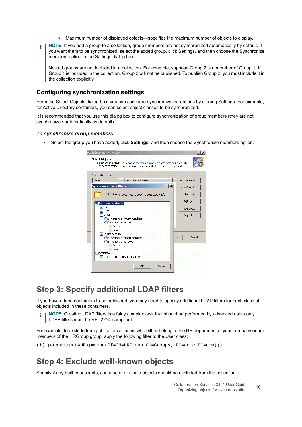- **▪** Maximum number of displayed objects—specifies the maximum number of objects to display.
- **NOTE:** If you add a group to a collection, group members are not synchronized automatically by default. If ÷ you want them to be synchronized, select the added group, click Settings, and then choose the Synchronize members option in the Settings dialog box.

Nested groups are not included in a collection. For example, suppose Group 2 is a member of Group 1. If Group 1 is included in the collection, Group 2 will not be published. To publish Group 2, you must include it in the collection explicitly.

#### **Configuring synchronization settings**

From the Select Objects dialog box, you can configure synchronization options by clicking Settings. For example, for Active Directory containers, you can select object classes to be synchronized.

It is recommended that you use this dialog box to configure synchronization of group members (they are not synchronized automatically by default).

#### *To synchronize group members*

**•** Select the group you have added, click **Settings**, and then choose the Synchronize members option.

| <b>Publish Collection Wizard</b> |                                                                                                                                                                   |        | ? X             |
|----------------------------------|-------------------------------------------------------------------------------------------------------------------------------------------------------------------|--------|-----------------|
| <b>Select Objects</b>            | Select which objects you want to be synchronized via containers or individually.<br>For each container, you can specify which object classes should be published. |        |                 |
| Selected objects:                |                                                                                                                                                                   |        |                 |
| Name                             | Distinguished Name                                                                                                                                                |        | Add Containers. |
| <b>Synchronization Settings</b>  |                                                                                                                                                                   | ? X    | Add Objects     |
|                                  | CN=Users, DC=gcs-012, DC=gcs, DC=spb, DC=gsft                                                                                                                     |        | Remove          |
| <b>De</b> Synchronized classes   |                                                                                                                                                                   |        | Settings        |
| V Contact<br>V User              |                                                                                                                                                                   |        | Export          |
| <b>V</b> Group                   |                                                                                                                                                                   |        | Import          |
| Synchronize members              | Synchronize without members                                                                                                                                       |        |                 |
| Contact<br>User                  |                                                                                                                                                                   |        |                 |
| Ouery-based DL                   |                                                                                                                                                                   |        |                 |
| Synchronize members              | Synchronize without members                                                                                                                                       | t >    | Cancel          |
| Contact                          |                                                                                                                                                                   |        |                 |
| User<br>Additional               |                                                                                                                                                                   |        |                 |
| Include objects in subcontainers |                                                                                                                                                                   |        |                 |
|                                  |                                                                                                                                                                   |        |                 |
|                                  | OK                                                                                                                                                                | Cancel |                 |

### **Step 3: Specify additional LDAP filters**

If you have added containers to be published, you may need to specify additional LDAP filters for each class of objects included in these containers.

**NOTE:** Creating LDAP filters is a fairly complex task that should be performed by advanced users only. ÷ LDAP filters must be RFC2254-compliant.

For example, to exclude from publication all users who either belong to the HR department of your company or are members of the HRGroup group, apply the following filter to the User class:

```
(!(|(department=HR)(memberOf=CN=HRGroup,OU=Groups, DC=acme,DC=com)))
```
### **Step 4: Exclude well-known objects**

Specify if any built-in accounts, containers, or single objects should be excluded from the collection.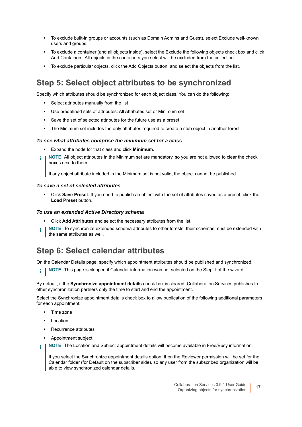- **•** To exclude built-in groups or accounts (such as Domain Admins and Guest), select Exclude well-known users and groups.
- **•** To exclude a container (and all objects inside), select the Exclude the following objects check box and click Add Containers. All objects in the containers you select will be excluded from the collection.
- **•** To exclude particular objects, click the Add Objects button, and select the objects from the list.

### **Step 5: Select object attributes to be synchronized**

Specify which attributes should be synchronized for each object class. You can do the following:

- **•** Select attributes manually from the list
- **•** Use predefined sets of attributes: All Attributes set or Minimum set
- **•** Save the set of selected attributes for the future use as a preset
- **•** The Minimum set includes the only attributes required to create a stub object in another forest.

#### *To see what attributes comprise the minimum set for a class*

- **•** Expand the node for that class and click **Minimum**.
- **NOTE:** All object attributes in the Minimum set are mandatory, so you are not allowed to clear the check i boxes next to them.

If any object attribute included in the Minimum set is not valid, the object cannot be published.

#### *To save a set of selected attributes*

**•** Click **Save Preset**. If you need to publish an object with the set of attributes saved as a preset, click the **Load Preset** button.

#### *To use an extended Active Directory schema*

- **•** Click **Add Attributes** and select the necessary attributes from the list.
- **NOTE:** To synchronize extended schema attributes to other forests, their schemas must be extended with î. the same attributes as well.

### **Step 6: Select calendar attributes**

On the Calendar Details page, specify which appointment attributes should be published and synchronized.

**i** | NOTE: This page is skipped if Calendar information was not selected on the Step 1 of the wizard.

By default, if the **Synchronize appointment details** check box is cleared, Collaboration Services publishes to other synchronization partners only the time to start and end the appointment.

Select the Synchronize appointment details check box to allow publication of the following additional parameters for each appointment:

- **•** Time zone
- **•** Location
- **•** Recurrence attributes
- **•** Appointment subject
- f. **NOTE:** The Location and Subject appointment details will become available in Free/Busy information.

If you select the Synchronize appointment details option, then the Reviewer permission will be set for the Calendar folder (for Default on the subscriber side), so any user from the subscribed organization will be able to view synchronized calendar details.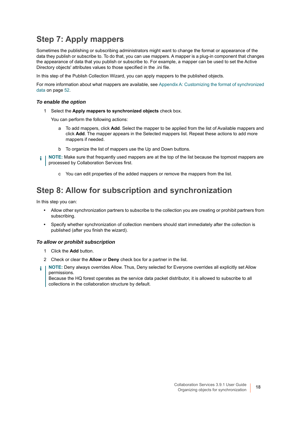### **Step 7: Apply mappers**

Sometimes the publishing or subscribing administrators might want to change the format or appearance of the data they publish or subscribe to. To do that, you can use mappers. A mapper is a plug-in component that changes the appearance of data that you publish or subscribe to. For example, a mapper can be used to set the Active Directory objects' attributes values to those specified in the .ini file.

In this step of the Publish Collection Wizard, you can apply mappers to the published objects.

For more information about what mappers are available, see [Appendix A: Customizing the format of synchronized](#page-51-3)  [data on page 52.](#page-51-3)

#### *To enable the option*

1 Select the **Apply mappers to synchronized objects** check box.

You can perform the following actions:

- a To add mappers, click **Add**. Select the mapper to be applied from the list of Available mappers and click **Add**. The mapper appears in the Selected mappers list. Repeat these actions to add more mappers if needed.
- b To organize the list of mappers use the Up and Down buttons.

**NOTE:** Make sure that frequently used mappers are at the top of the list because the topmost mappers are i processed by Collaboration Services first.

c You can edit properties of the added mappers or remove the mappers from the list.

### **Step 8: Allow for subscription and synchronization**

In this step you can:

- **•** Allow other synchronization partners to subscribe to the collection you are creating or prohibit partners from subscribing.
- **•** Specify whether synchronization of collection members should start immediately after the collection is published (after you finish the wizard).

#### *To allow or prohibit subscription*

- 1 Click the **Add** button.
- 2 Check or clear the **Allow** or **Deny** check box for a partner in the list.
- **NOTE:** Deny always overrides Allow. Thus, Deny selected for Everyone overrides all explicitly set Allow ÷ permissions.

Because the HQ forest operates as the service data packet distributor, it is allowed to subscribe to all collections in the collaboration structure by default.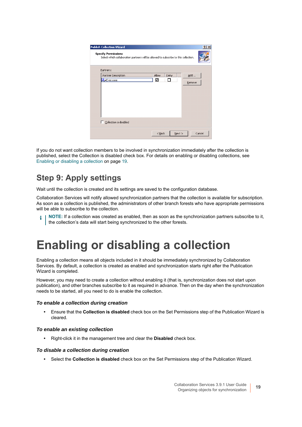| Partners:           |       |      |        |
|---------------------|-------|------|--------|
| Partner Description | Allow | Deny | Add    |
| <b>A</b> Everyone   | ☑     | п    | Remove |

If you do not want collection members to be involved in synchronization immediately after the collection is published, select the Collection is disabled check box. For details on enabling or disabling collections, see [Enabling or disabling a collection on page 19](#page-18-0).

### **Step 9: Apply settings**

Wait until the collection is created and its settings are saved to the configuration database.

Collaboration Services will notify allowed synchronization partners that the collection is available for subscription. As soon as a collection is published, the administrators of other branch forests who have appropriate permissions will be able to subscribe to the collection.

<span id="page-18-1"></span>**NOTE:** If a collection was created as enabled, then as soon as the synchronization partners subscribe to it, i the collection's data will start being synchronized to the other forests.

# <span id="page-18-2"></span><span id="page-18-0"></span>**Enabling or disabling a collection**

Enabling a collection means all objects included in it should be immediately synchronized by Collaboration Services. By default, a collection is created as enabled and synchronization starts right after the Publication Wizard is completed.

However, you may need to create a collection without enabling it (that is, synchronization does not start upon publication), and other branches subscribe to it as required in advance. Then on the day when the synchronization needs to be started, all you need to do is enable the collection.

#### *To enable a collection during creation*

**•** Ensure that the **Collection is disabled** check box on the Set Permissions step of the Publication Wizard is cleared.

#### *To enable an existing collection*

**•** Right-click it in the management tree and clear the **Disabled** check box.

#### *To disable a collection during creation*

**•** Select the **Collection is disabled** check box on the Set Permissions step of the Publication Wizard.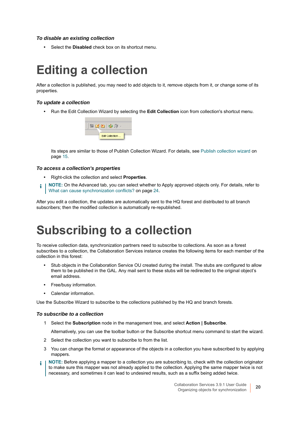#### *To disable an existing collection*

<span id="page-19-2"></span>**•** Select the **Disabled** check box on its shortcut menu.

# <span id="page-19-0"></span>**Editing a collection**

After a collection is published, you may need to add objects to it, remove objects from it, or change some of its properties.

#### *To update a collection*

**•** Run the Edit Collection Wizard by selecting the **Edit Collection** icon from collection's shortcut menu.

| Edit Collection |
|-----------------|

Its steps are similar to those of Publish Collection Wizard. For details, see [Publish collection wizard on](#page-14-0)  [page 15](#page-14-0).

#### *To access a collection's properties*

- **•** Right-click the collection and select **Properties**.
- **NOTE:** On the Advanced tab, you can select whether to Apply approved objects only. For details, refer to i [What can cause synchronization conflicts? on page 24.](#page-23-3)

After you edit a collection, the updates are automatically sent to the HQ forest and distributed to all branch subscribers; then the modified collection is automatically re-republished.

## <span id="page-19-3"></span><span id="page-19-1"></span>**Subscribing to a collection**

To receive collection data, synchronization partners need to subscribe to collections. As soon as a forest subscribes to a collection, the Collaboration Services instance creates the following items for each member of the collection in this forest:

- **•** Stub objects in the Collaboration Service OU created during the install. The stubs are configured to allow them to be published in the GAL. Any mail sent to these stubs will be redirected to the original object's email address.
- **•** Free/busy information.
- **•** Calendar information.

Use the Subscribe Wizard to subscribe to the collections published by the HQ and branch forests.

#### *To subscribe to a collection*

1 Select the **Subscription** node in the management tree, and select **Action | Subscribe**.

Alternatively, you can use the toolbar button or the Subscribe shortcut menu command to start the wizard.

- 2 Select the collection you want to subscribe to from the list.
- 3 You can change the format or appearance of the objects in a collection you have subscribed to by applying mappers.
- **NOTE:** Before applying a mapper to a collection you are subscribing to, check with the collection originator to make sure this mapper was not already applied to the collection. Applying the same mapper twice is not necessary, and sometimes it can lead to undesired results, such as a suffix being added twice.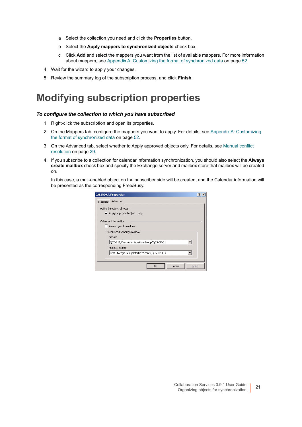- a Select the collection you need and click the **Properties** button.
- b Select the **Apply mappers to synchronized objects** check box.
- <span id="page-20-2"></span><span id="page-20-1"></span>c Click **Add** and select the mappers you want from the list of available mappers. For more information about mappers, see [Appendix A: Customizing the format of synchronized data on page 52](#page-51-3).
- 4 Wait for the wizard to apply your changes.
- 5 Review the summary log of the subscription process, and click **Finish**.

### <span id="page-20-0"></span>**Modifying subscription properties**

#### *To configure the collection to which you have subscribed*

- 1 Right-click the subscription and open its properties.
- 2 On the Mappers tab, configure the mappers you want to apply. For details, see [Appendix A: Customizing](#page-51-3)  [the format of synchronized data on page 52](#page-51-3).
- 3 On the Advanced tab, select whether to Apply approved objects only. For details, see [Manual conflict](#page-28-1)  [resolution on page 29](#page-28-1).
- 4 If you subscribe to a collection for calendar information synchronization, you should also select the **Always create mailbox** check box and specify the Exchange server and mailbox store that mailbox will be created on.

In this case, a mail-enabled object on the subscriber side will be created, and the Calendar information will be presented as the corresponding Free/Busy.

|         | <b>CALENDAR Properties</b>                               |  |
|---------|----------------------------------------------------------|--|
| Mappers | Advanced                                                 |  |
|         | Active Directory objects<br>Apply approved objects only! |  |
|         | Calendar information<br>Always create mailbox            |  |
|         | Create an Exchange mailbox<br>Server:                    |  |
|         | QCS-011/First Administrative Group/QCS-BR-11             |  |
|         | Mailbox Store:                                           |  |
|         | First Storage Group/Mailbox Store (QCS-BR-11)            |  |
|         |                                                          |  |
|         | Cancel<br>OK<br>Apply                                    |  |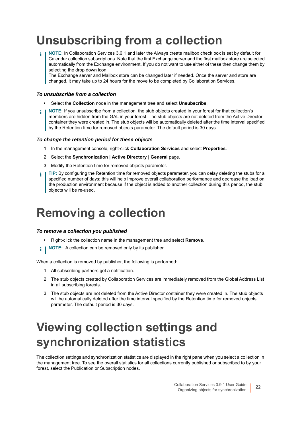# <span id="page-21-0"></span>**Unsubscribing from a collection**

**NOTE:** In Collaboration Services 3.6.1 and later the Always create mailbox check box is set by default for ÷ Calendar collection subscriptions. Note that the first Exchange server and the first mailbox store are selected automatically from the Exchange environment. If you do not want to use either of these then change them by selecting the drop down icon.

The Exchange server and Mailbox store can be changed later if needed. Once the server and store are changed, it may take up to 24 hours for the move to be completed by Collaboration Services.

#### <span id="page-21-4"></span>*To unsubscribe from a collection*

- **•** Select the **Collection** node in the management tree and select **Unsubscribe**.
- **NOTE:** If you unsubscribe from a collection, the stub objects created in your forest for that collection's ÷ members are hidden from the GAL in your forest. The stub objects are not deleted from the Active Director container they were created in. The stub objects will be automatically deleted after the time interval specified by the Retention time for removed objects parameter. The default period is 30 days.

#### *To change the retention period for these objects*

- 1 In the management console, right-click **Collaboration Services** and select **Properties**.
- 2 Select the **Synchronization | Active Directory | General** page.
- 3 Modify the Retention time for removed objects parameter.
- **TIP:** By configuring the Retention time for removed objects parameter, you can delay deleting the stubs for a å specified number of days; this will help improve overall collaboration performance and decrease the load on the production environment because if the object is added to another collection during this period, the stub objects will be re-used.

# <span id="page-21-1"></span>**Removing a collection**

#### *To remove a collection you published*

- <span id="page-21-3"></span>**•** Right-click the collection name in the management tree and select **Remove**.
- **i** | NOTE: A collection can be removed only by its publisher.

When a collection is removed by publisher, the following is performed:

- 1 All subscribing partners get a notification.
- 2 The stub objects created by Collaboration Services are immediately removed from the Global Address List in all subscribing forests.
- <span id="page-21-5"></span>3 The stub objects are not deleted from the Active Director container they were created in. The stub objects will be automatically deleted after the time interval specified by the Retention time for removed objects parameter. The default period is 30 days.

# <span id="page-21-2"></span>**Viewing collection settings and synchronization statistics**

The collection settings and synchronization statistics are displayed in the right pane when you select a collection in the management tree. To see the overall statistics for all collections currently published or subscribed to by your forest, select the Publication or Subscription nodes.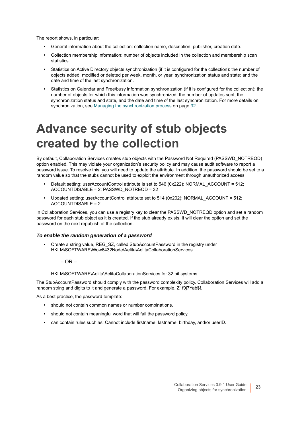The report shows, in particular:

- **•** General information about the collection: collection name, description, publisher, creation date.
- **•** Collection membership information: number of objects included in the collection and membership scan statistics.
- **•** Statistics on Active Directory objects synchronization (if it is configured for the collection): the number of objects added, modified or deleted per week, month, or year; synchronization status and state; and the date and time of the last synchronization.
- **•** Statistics on Calendar and Free/busy information synchronization (if it is configured for the collection): the number of objects for which this information was synchronized, the number of updates sent, the synchronization status and state, and the date and time of the last synchronization. For more details on synchronization, see [Managing the synchronization process on page 32.](#page-31-3)

# <span id="page-22-0"></span>**Advance security of stub objects created by the collection**

By default, Collaboration Services creates stub objects with the Password Not Required (PASSWD\_NOTREQD) option enabled. This may violate your organization's security policy and may cause audit software to report a password issue. To resolve this, you will need to update the attribute. In addition, the password should be set to a random value so that the stubs cannot be used to exploit the environment through unauthorized access.

- **•** Default setting: userAccountControl attribute is set to 546 (0x222): NORMAL\_ACCOUNT = 512; ACCOUNTDISABLE = 2; PASSWD\_NOTREQD = 32
- **•** Updated setting: userAccountControl attribute set to 514 (0x202): NORMAL\_ACCOUNT = 512; ACCOUNTDISABLE = 2

In Collaboration Services, you can use a registry key to clear the PASSWD\_NOTREQD option and set a random password for each stub object as it is created. If the stub already exists, it will clear the option and set the password on the next republish of the collection.

#### *To enable the random generation of a password*

- **•** Create a string value, REG\_SZ, called StubAccountPassword in the registry under HKLM\SOFTWARE\Wow6432Node\Aelita\AelitaCollaborationServices
	- $-$  OR  $-$

HKLM\SOFTWARE\Aelita\AelitaCollaborationServices for 32 bit systems

The StubAccountPassword should comply with the password complexity policy. Collaboration Services will add a random string and digits to it and generate a password. For example, Z1f9j7Yab\$!.

As a best practice, the password template:

- **•** should not contain common names or number combinations.
- **•** should not contain meaningful word that will fail the password policy.
- **•** can contain rules such as; Cannot include firstname, lastname, birthday, and/or userID.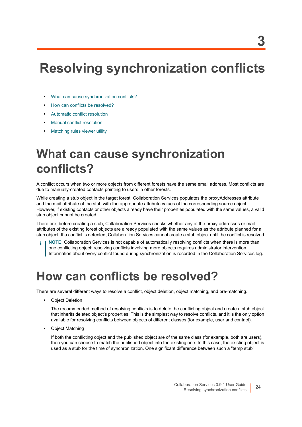# <span id="page-23-0"></span>**Resolving synchronization conflicts**

- **•** [What can cause synchronization conflicts?](#page-23-1)
- **•** [How can conflicts be resolved?](#page-23-2)
- **•** [Automatic conflict resolution](#page-24-0)
- **•** [Manual conflict resolution](#page-28-0)
- <span id="page-23-4"></span>**•** [Matching rules viewer utility](#page-30-0)

# <span id="page-23-3"></span><span id="page-23-1"></span>**What can cause synchronization conflicts?**

A conflict occurs when two or more objects from different forests have the same email address. Most conflicts are due to manually-created contacts pointing to users in other forests.

While creating a stub object in the target forest, Collaboration Services populates the proxyAddresses attribute and the mail attribute of the stub with the appropriate attribute values of the corresponding source object. However, if existing contacts or other objects already have their properties populated with the same values, a valid stub object cannot be created.

Therefore, before creating a stub, Collaboration Services checks whether any of the proxy addresses or mail attributes of the existing forest objects are already populated with the same values as the attribute planned for a stub object. If a conflict is detected, Collaboration Services cannot create a stub object until the conflict is resolved.

**NOTE:** Collaboration Services is not capable of automatically resolving conflicts when there is more than one conflicting object; resolving conflicts involving more objects requires administrator intervention. Information about every conflict found during synchronization is recorded in the Collaboration Services log.

## <span id="page-23-2"></span>**How can conflicts be resolved?**

There are several different ways to resolve a conflict, object deletion, object matching, and pre-matching.

**•** Object Deletion

<span id="page-23-6"></span><span id="page-23-5"></span>The recommended method of resolving conflicts is to delete the conflicting object and create a stub object that inherits deleted object's properties. This is the simplest way to resolve conflicts, and it is the only option available for resolving conflicts between objects of different classes (for example, user and contact).

**•** Object Matching

If both the conflicting object and the published object are of the same class (for example, both are users), then you can choose to match the published object into the existing one. In this case, the existing object is used as a stub for the time of synchronization. One significant difference between such a "temp stub"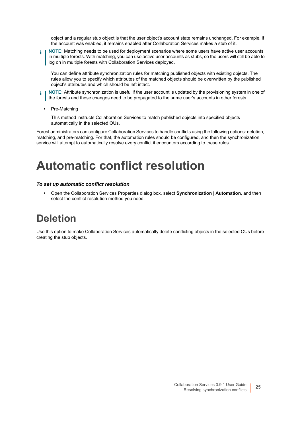object and a regular stub object is that the user object's account state remains unchanged. For example, if the account was enabled, it remains enabled after Collaboration Services makes a stub of it.

**NOTE:** Matching needs to be used for deployment scenarios where some users have active user accounts ÷ in multiple forests. With matching, you can use active user accounts as stubs, so the users will still be able to log on in multiple forests with Collaboration Services deployed.

You can define attribute synchronization rules for matching published objects with existing objects. The rules allow you to specify which attributes of the matched objects should be overwritten by the published object's attributes and which should be left intact.

- **NOTE:** Attribute synchronization is useful if the user account is updated by the provisioning system in one of i I the forests and those changes need to be propagated to the same user's accounts in other forests.
	- **•** Pre-Matching

This method instructs Collaboration Services to match published objects into specified objects automatically in the selected OUs.

Forest administrators can configure Collaboration Services to handle conflicts using the following options: deletion, matching, and pre-matching. For that, the automation rules should be configured, and then the synchronization service will attempt to automatically resolve every conflict it encounters according to these rules.

## <span id="page-24-0"></span>**Automatic conflict resolution**

#### *To set up automatic conflict resolution*

<span id="page-24-3"></span><span id="page-24-2"></span>**•** Open the Collaboration Services Properties dialog box, select **Synchronization | Automation**, and then select the conflict resolution method you need.

### <span id="page-24-1"></span>**Deletion**

Use this option to make Collaboration Services automatically delete conflicting objects in the selected OUs before creating the stub objects.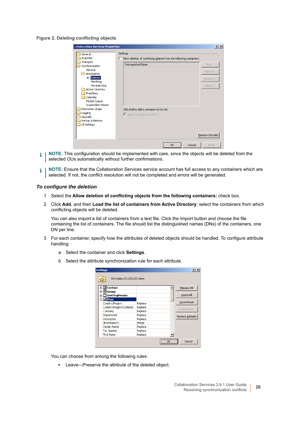#### **Figure 2. Deleting conflicting objects**

| General                                                                                                                                    | Settings                                                                 |                                     |
|--------------------------------------------------------------------------------------------------------------------------------------------|--------------------------------------------------------------------------|-------------------------------------|
| Branches                                                                                                                                   | Allow deletion of conflicting objects from the following containers:     |                                     |
| Transport<br>Synchronization<br>General<br>Automation<br>Deletion<br>Matching<br>Pre-matching<br>Active Directory<br>Free/Busy<br>Calendar | Distinguished Name                                                       | Add<br>Remove<br>Settings<br>Import |
| Packet Queue<br>Suspended Objects<br>Resources Usage<br>Logging<br>Upgrade<br>Backup & Restore<br>UI Settings                              | Click Add to add a container to the list.<br>Apply to all sub-containers |                                     |
|                                                                                                                                            |                                                                          | Restore Defaults                    |

- **NOTE:** This configuration should be implemented with care, since the objects will be deleted from the f. selected OUs automatically without further confirmations.
- **NOTE:** Ensure that the Collaboration Services service account has full access to any containers which are î. selected. If not, the conflict resolution will not be completed and errors will be generated.

#### *To configure the deletion*

- <span id="page-25-0"></span>1 Select the **Allow deletion of conflicting objects from the following containers:** check box.
- 2 Click **Add**, and then **Load the list of containers from Active Directory**; select the containers from which conflicting objects will be deleted.

You can also import a list of containers from a text file. Click the Import button and choose the file containing the list of containers. The file should list the distinguished names (DNs) of the containers, one DN per line.

- 3 For each container, specify how the attributes of deleted objects should be handled. To configure attribute handling:
	- a Select the container and click **Settings**.
	- b Select the attribute synchronization rule for each attribute.

| <b>Settings</b>           |         | ?                |
|---------------------------|---------|------------------|
| OU=Sales, DC=2k3, DC=dom  |         |                  |
| ⊞ l Contact               |         | Replace All      |
| ⊞ ⊠ Group                 |         |                  |
| $\Box$ InetOrgPerson<br>田 |         | Leave All        |
| <b>E MUser</b>            |         |                  |
| Country/Region            | Replace | Save Preset      |
| Country/Region (Outlook)  | Replace | Load Preset      |
| Company                   | Replace |                  |
| Department                | Replace | Restore Defaults |
| Description               | Replace |                  |
| directReports             | Merge   |                  |
| Display Name              | Replace |                  |
| Fax Number                | Replace |                  |
| First Name                | Replace |                  |
|                           |         | <br>Cancel       |

You can choose from among the following rules:

**▪** Leave—Preserve the attribute of the deleted object.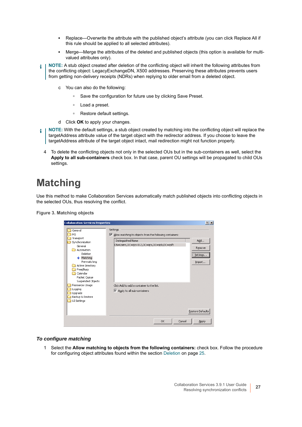- **▪** Replace—Overwrite the attribute with the published object's attribute (you can click Replace All if this rule should be applied to all selected attributes).
- **■** Merge—Merge the attributes of the deleted and published objects (this option is available for multivalued attributes only).
- **NOTE:** A stub object created after deletion of the conflicting object will inherit the following attributes from ÷ the conflicting object: LegacyExchangeDN, X500 addresses. Preserving these attributes prevents users from getting non-delivery receipts (NDRs) when replying to older email from a deleted object.
	- c You can also do the following:
		- **▫** Save the configuration for future use by clicking Save Preset.
		- **▫** Load a preset.
		- **▫** Restore default settings.
	- d Click **OK** to apply your changes.
- **NOTE:** With the default settings, a stub object created by matching into the conflicting object will replace the ÷ targetAddress attribute value of the target object with the redirector address. If you choose to leave the targetAddress attribute of the target object intact, mail redirection might not function properly.
	- 4 To delete the conflicting objects not only in the selected OUs but in the sub-containers as well, select the **Apply to all sub-containers** check box. In that case, parent OU settings will be propagated to child OUs settings.

### <span id="page-26-2"></span><span id="page-26-1"></span><span id="page-26-0"></span>**Matching**

Use this method to make Collaboration Services automatically match published objects into conflicting objects in the selected OUs, thus resolving the conflict.

**Figure 3. Matching objects**

| <b>Collaboration Services Properties</b>                                                                     | ? X                                                                                                                                                                               |
|--------------------------------------------------------------------------------------------------------------|-----------------------------------------------------------------------------------------------------------------------------------------------------------------------------------|
| General<br>HQ<br>Transport<br>Synchronization<br>General<br>Automation<br>Deletion                           | Settings<br>Allow matching to objects from the following containers:<br>⊽<br>Distinguished Name<br>Add<br>CN=Users, DC=qcs-012, DC=qcs, DC=spb, DC=qsft<br>Remove<br><br>Settings |
| → Matching<br>Pre-matching<br>Active Directory<br>Free/Busy<br>Calendar<br>Packet Queue<br>Suspended Objects | Import                                                                                                                                                                            |
| Resources Usage<br>Logging<br>Upgrade<br>Backup & Restore<br>UI Settings                                     | Click Add to add a container to the list.<br>$\triangleright$ Apply to all sub-containers                                                                                         |
|                                                                                                              | Restore Defaults                                                                                                                                                                  |
|                                                                                                              | Cancel<br>OK.<br>Apply                                                                                                                                                            |

#### *To configure matching*

1 Select the **Allow matching to objects from the following containers:** check box. Follow the procedure for configuring object attributes found within the section [Deletion on page 25](#page-24-1).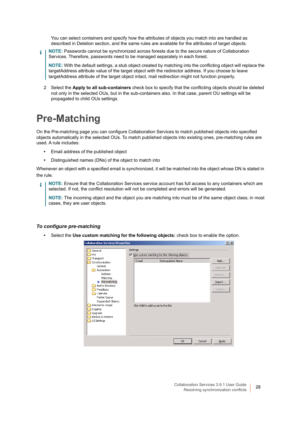You can select containers and specify how the attributes of objects you match into are handled as described in Deletion section, and the same rules are available for the attributes of target objects.

**NOTE:** Passwords cannot be synchronized across forests due to the secure nature of Collaboration i Services. Therefore, passwords need to be managed separately in each forest.

**NOTE:** With the default settings, a stub object created by matching into the conflicting object will replace the targetAddress attribute value of the target object with the redirector address. If you choose to leave targetAddress attribute of the target object intact, mail redirection might not function properly.

<span id="page-27-2"></span>2 Select the **Apply to all sub-containers** check box to specify that the conflicting objects should be deleted not only in the selected OUs, but in the sub-containers also. In that case, parent OU settings will be propagated to child OUs settings.

## <span id="page-27-1"></span><span id="page-27-0"></span>**Pre-Matching**

On the Pre-matching page you can configure Collaboration Services to match published objects into specified objects automatically in the selected OUs. To match published objects into existing ones, pre-matching rules are used. A rule includes:

- **•** Email address of the published object
- **•** Distinguished names (DNs) of the object to match into

Whenever an object with a specified email is synchronized, it will be matched into the object whose DN is stated in the rule.

**NOTE:** Ensure that the Collaboration Services service account has full access to any containers which are i selected. If not, the conflict resolution will not be completed and errors will be generated.

**NOTE:** The incoming object and the object you are matching into must be of the same object class; in most cases, they are user objects.

#### *To configure pre-matching*

**•** Select the **Use custom matching for the following objects:** check box to enable the option.

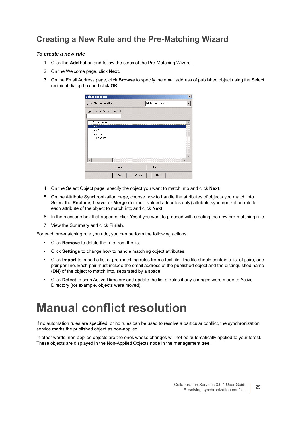### **Creating a New Rule and the Pre-Matching Wizard**

#### *To create a new rule*

- 1 Click the **Add** button and follow the steps of the Pre-Matching Wizard.
- 2 On the Welcome page, click **Next**.
- 3 On the Email Address page, click **Browse** to specify the email address of published object using the Select recipient dialog box and click **OK**.

| Select recipient               |            |        |                     | $\vert x \vert$ |
|--------------------------------|------------|--------|---------------------|-----------------|
| Show Names from the:           |            |        | Global Address List |                 |
| Type Name or Select from List: |            |        |                     |                 |
| Administrator<br>mbx1          |            |        |                     |                 |
| mbx2                           |            |        |                     |                 |
| qosserv<br><b>QCSservice</b>   |            |        |                     |                 |
| ا ∢                            |            |        |                     |                 |
|                                | Properties |        | Find                |                 |
|                                | 0K         | Cancel | Help                |                 |

- 4 On the Select Object page, specify the object you want to match into and click **Next**.
- 5 On the Attribute Synchronization page, choose how to handle the attributes of objects you match into. Select the **Replace**, **Leave**, or **Merge** (for multi-valued attributes only) attribute synchronization rule for each attribute of the object to match into and click **Next**.
- 6 In the message box that appears, click **Yes** if you want to proceed with creating the new pre-matching rule.
- 7 View the Summary and click **Finish**.

For each pre-matching rule you add, you can perform the following actions:

- **•** Click **Remove** to delete the rule from the list.
- **•** Click **Settings** to change how to handle matching object attributes.
- **•** Click **Import** to import a list of pre-matching rules from a text file. The file should contain a list of pairs, one pair per line. Each pair must include the email address of the published object and the distinguished name (DN) of the object to match into, separated by a space.
- <span id="page-28-2"></span>**•** Click **Detect** to scan Active Directory and update the list of rules if any changes were made to Active Directory (for example, objects were moved).

## <span id="page-28-1"></span><span id="page-28-0"></span>**Manual conflict resolution**

If no automation rules are specified, or no rules can be used to resolve a particular conflict, the synchronization service marks the published object as non-applied.

In other words, non-applied objects are the ones whose changes will not be automatically applied to your forest. These objects are displayed in the Non-Applied Objects node in the management tree.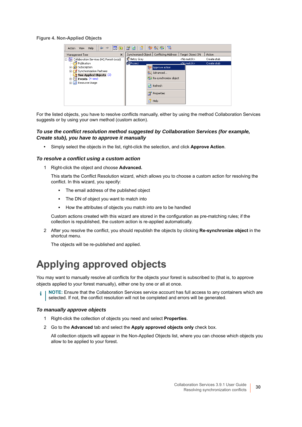#### **Figure 4. Non-Applied Objects**



For the listed objects, you have to resolve conflicts manually, either by using the method Collaboration Services suggests or by using your own method (custom action).

#### *To use the conflict resolution method suggested by Collaboration Services (for example, Create stub), you have to approve it manually*

**•** Simply select the objects in the list, right-click the selection, and click **Approve Action**.

#### *To resolve a conflict using a custom action*

1 Right-click the object and choose **Advanced.**

This starts the Conflict Resolution wizard, which allows you to choose a custom action for resolving the conflict. In this wizard, you specify:

- **▪** The email address of the published object
- The DN of object you want to match into
- **▪** How the attributes of objects you match into are to be handled

Custom actions created with this wizard are stored in the configuration as pre-matching rules; if the collection is republished, the custom action is re-applied automatically.

2 After you resolve the conflict, you should republish the objects by clicking **Re-synchronize object** in the shortcut menu.

The objects will be re-published and applied.

### <span id="page-29-0"></span>**Applying approved objects**

You may want to manually resolve all conflicts for the objects your forest is subscribed to (that is, to approve objects applied to your forest manually), either one by one or all at once.

**NOTE:** Ensure that the Collaboration Services service account has full access to any containers which are selected. If not, the conflict resolution will not be completed and errors will be generated.

#### *To manually approve objects*

- 1 Right-click the collection of objects you need and select **Properties**.
- 2 Go to the **Advanced** tab and select the **Apply approved objects only** check box.

All collection objects will appear in the Non-Applied Objects list, where you can choose which objects you allow to be applied to your forest.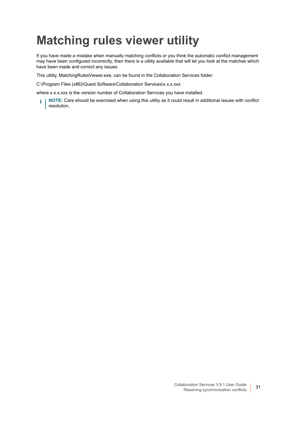# <span id="page-30-0"></span>**Matching rules viewer utility**

If you have made a mistake when manually matching conflicts or you think the automatic conflict management may have been configured incorrectly, then there is a utility available that will let you look at the matches which have been made and correct any issues.

This utility, MatchingRulesViewer.exe, can be found in the Collaboration Services folder:

C:\Program Files (x86)\Quest Software\Collaboration Services\x.x.x.xxx

where x.x.x.xxx is the version number of Collaboration Services you have installed.

**i** | NOTE: Care should be exercised when using this utility as it could result in additional issues with conflict resolution.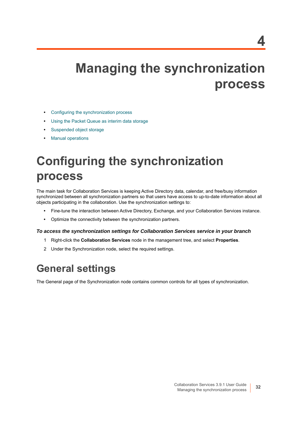# <span id="page-31-3"></span><span id="page-31-0"></span>**Managing the synchronization process**

- **•** [Configuring the synchronization process](#page-31-1)
- **•** [Using the Packet Queue as interim data storage](#page-38-0)
- **•** [Suspended object storage](#page-38-1)
- <span id="page-31-4"></span>**•** [Manual operations](#page-39-0)

# <span id="page-31-1"></span>**Configuring the synchronization process**

The main task for Collaboration Services is keeping Active Directory data, calendar, and free/busy information synchronized between all synchronization partners so that users have access to up-to-date information about all objects participating in the collaboration. Use the synchronization settings to:

- **•** Fine-tune the interaction between Active Directory, Exchange, and your Collaboration Services instance.
- **•** Optimize the connectivity between the synchronization partners.

#### *To access the synchronization settings for Collaboration Services service in your branch*

- 1 Right-click the **Collaboration Services** node in the management tree, and select **Properties**.
- <span id="page-31-5"></span>2 Under the Synchronization node, select the required settings.

### <span id="page-31-2"></span>**General settings**

The General page of the Synchronization node contains common controls for all types of synchronization.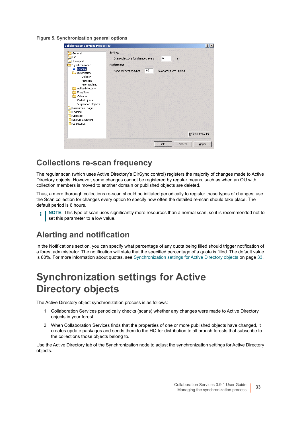**Figure 5. Synchronization general options**

| <b>Collaboration Services Properties</b>                                                                                                                                                                                                                                     |                                                                                                                                         | $?$ $\times$     |
|------------------------------------------------------------------------------------------------------------------------------------------------------------------------------------------------------------------------------------------------------------------------------|-----------------------------------------------------------------------------------------------------------------------------------------|------------------|
| General<br>HQ<br>Transport<br>Synchronization<br>General<br>Automation<br>Deletion<br>Matching<br>Pre-matching<br>Active Directory<br>Free/Busy<br>Calendar<br>Packet Queue<br>Suspended Objects<br>Resources Usage<br>Logging<br>Upgrade<br>Backup & Restore<br>UI Settings | Settings<br>6<br>Scan collections for changes every:<br>hr<br>Notifications<br>80<br>Send notification when<br>% of any quota is filled | Restore Defaults |
|                                                                                                                                                                                                                                                                              | Cancel<br>OK                                                                                                                            | Apply            |

### **Collections re-scan frequency**

The regular scan (which uses Active Directory's DirSync control) registers the majority of changes made to Active Directory objects. However, some changes cannot be registered by regular means, such as when an OU with collection members is moved to another domain or published objects are deleted.

Thus, a more thorough collections re-scan should be initiated periodically to register these types of changes; use the Scan collection for changes every option to specify how often the detailed re-scan should take place. The default period is 6 hours.

**NOTE:** This type of scan uses significantly more resources than a normal scan, so it is recommended not to f. set this parameter to a low value.

### **Alerting and notification**

In the Notifications section, you can specify what percentage of any quota being filled should trigger notification of a forest administrator. The notification will state that the specified percentage of a quota is filled. The default value is 80%. For more information about quotas, see [Synchronization settings for Active Directory objects on page 33.](#page-32-0)

## <span id="page-32-1"></span><span id="page-32-0"></span>**Synchronization settings for Active Directory objects**

The Active Directory object synchronization process is as follows:

- 1 Collaboration Services periodically checks (scans) whether any changes were made to Active Directory objects in your forest.
- 2 When Collaboration Services finds that the properties of one or more published objects have changed, it creates update packages and sends them to the HQ for distribution to all branch forests that subscribe to the collections those objects belong to.

Use the Active Directory tab of the Synchronization node to adjust the synchronization settings for Active Directory objects.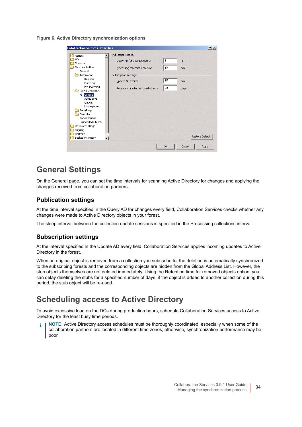**Figure 6. Active Directory synchronization options**

| <b>Collaboration Services Properties</b>                                                                                                                                                                                                                                                                                     |                                                                                                                                                                             |                                |                          | ? x              |
|------------------------------------------------------------------------------------------------------------------------------------------------------------------------------------------------------------------------------------------------------------------------------------------------------------------------------|-----------------------------------------------------------------------------------------------------------------------------------------------------------------------------|--------------------------------|--------------------------|------------------|
| General<br>HQ<br>Transport<br>Synchronization<br>General<br>Automation<br>Deletion<br>Matching<br>Pre-matching<br>Active Directory<br>$\Rightarrow$ General<br>Scheduling<br>Quotas<br>Namespaces<br>Free/Busy<br>Calendar<br>Packet Queue<br>Suspended Objects<br>Resources Usage<br>Logging<br>Upgrade<br>Backup & Restore | Publication settings<br>Query AD for changes every:<br>Processing collections interval:<br>Subscription settings<br>Update AD every:<br>Retention time for removed objects: | $\mathbf{1}$<br>15<br>15<br>30 | hr<br>min<br>min<br>days | Restore Defaults |
|                                                                                                                                                                                                                                                                                                                              |                                                                                                                                                                             | OK.                            | Cancel                   | Apply            |

### **General Settings**

On the General page, you can set the time intervals for scanning Active Directory for changes and applying the changes received from collaboration partners.

#### **Publication settings**

At the time interval specified in the Query AD for changes every field, Collaboration Services checks whether any changes were made to Active Directory objects in your forest.

The sleep interval between the collection update sessions is specified in the Processing collections interval.

#### **Subscription settings**

At the interval specified in the Update AD every field, Collaboration Services applies incoming updates to Active Directory in the forest.

When an original object is removed from a collection you subscribe to, the deletion is automatically synchronized to the subscribing forests and the corresponding objects are hidden from the Global Address List. However, the stub objects themselves are not deleted immediately. Using the Retention time for removed objects option, you can delay deleting the stubs for a specified number of days; if the object is added to another collection during this period, the stub object will be re-used.

### **Scheduling access to Active Directory**

To avoid excessive load on the DCs during production hours, schedule Collaboration Services access to Active Directory for the least busy time periods.

**NOTE:** Active Directory access schedules must be thoroughly coordinated, especially when some of the collaboration partners are located in different time zones; otherwise, synchronization performance may be poor.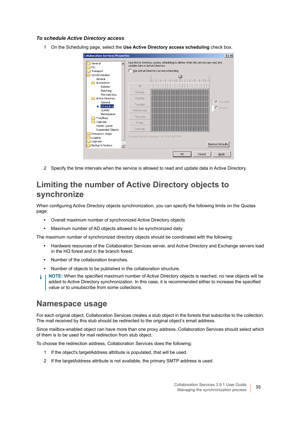#### *To schedule Active Directory access*

1 On the Scheduling page, select the **Use Active Directory access scheduling** check box.



<span id="page-34-0"></span>2 Specify the time intervals when the service is allowed to read and update data in Active Directory.

### **Limiting the number of Active Directory objects to synchronize**

When configuring Active Directory objects synchronization, you can specify the following limits on the Quotas page:

- **•** Overall maximum number of synchronized Active Directory objects
- **•** Maximum number of AD objects allowed to be synchronized daily

The maximum number of synchronized directory objects should be coordinated with the following:

- **•** Hardware resources of the Collaboration Services server, and Active Directory and Exchange servers load in the HQ forest and in the branch forest.
- **•** Number of the collaboration branches.
- **•** Number of objects to be published in the collaboration structure.
- **NOTE:** When the specified maximum number of Active Directory objects is reached, no new objects will be i added to Active Directory synchronization. In this case, it is recommended either to increase the specified value or to unsubscribe from some collections.

### **Namespace usage**

For each original object, Collaboration Services creates a stub object in the forests that subscribe to the collection. The mail received by this stub should be redirected to the original object's email address.

Since mailbox-enabled object can have more than one proxy address, Collaboration Services should select which of them is to be used for mail redirection from stub object.

To choose the redirection address, Collaboration Services does the following:

- 1 If the object's targetAddress attribute is populated, that will be used.
- 2 If the targetAddress attribute is not available, the primary SMTP address is used.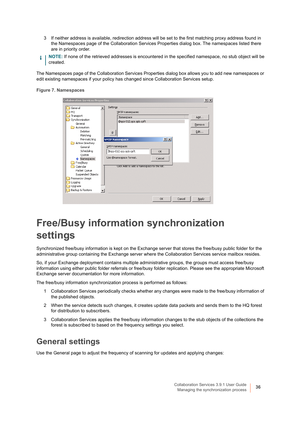- 3 If neither address is available, redirection address will be set to the first matching proxy address found in the Namespaces page of the Collaboration Services Properties dialog box. The namespaces listed there are in priority order.
- **NOTE:** If none of the retrieved addresses is encountered in the specified namespace, no stub object will be i created.

The Namespaces page of the Collaboration Services Properties dialog box allows you to add new namespaces or edit existing namespaces if your policy has changed since Collaboration Services setup.

#### **Figure 7. Namespaces**

| <b>Collaboration Services Properties</b>      |                                           | $?$ $\times$ |
|-----------------------------------------------|-------------------------------------------|--------------|
| General<br>HQ                                 | Settings<br>SMTP namespaces:              |              |
| Transport                                     | Namespace                                 | Add          |
| Synchronization                               | @qcs-012.qcs.spb.qsft                     |              |
| General<br>Automation                         |                                           | Remove       |
| Deletion                                      |                                           | Edit         |
| Matching                                      |                                           |              |
| Pre-matching                                  | $?$ $\times$<br><b>SMTP Namespace</b>     |              |
| Active Directory                              |                                           |              |
| General                                       | SMTP namespace:                           |              |
| Scheduling                                    | @qcs-012.qcs.spb.qsft<br><b>OK</b>        |              |
| Quotas                                        | Use @namespace format.<br>Cancel          |              |
| $\blacktriangleright$ Namespaces<br>Free/Busy |                                           |              |
| Calendar                                      | Click Add to add a namespace to the list. |              |
| Packet Queue                                  |                                           |              |
| Suspended Objects                             |                                           |              |
| Resources Usage                               |                                           |              |
| Logging                                       |                                           |              |
| Upgrade                                       |                                           |              |
| Backup & Restore                              |                                           |              |
|                                               | Cancel<br>OK                              |              |
|                                               |                                           | Apply        |

## <span id="page-35-1"></span><span id="page-35-0"></span>**Free/Busy information synchronization settings**

Synchronized free/busy information is kept on the Exchange server that stores the free/busy public folder for the administrative group containing the Exchange server where the Collaboration Services service mailbox resides.

So, if your Exchange deployment contains multiple administrative groups, the groups must access free/busy information using either public folder referrals or free/busy folder replication. Please see the appropriate Microsoft Exchange server documentation for more information.

The free/busy information synchronization process is performed as follows:

- 1 Collaboration Services periodically checks whether any changes were made to the free/busy information of the published objects.
- 2 When the service detects such changes, it creates update data packets and sends them to the HQ forest for distribution to subscribers.
- 3 Collaboration Services applies the free/busy information changes to the stub objects of the collections the forest is subscribed to based on the frequency settings you select.

### **General settings**

Use the General page to adjust the frequency of scanning for updates and applying changes: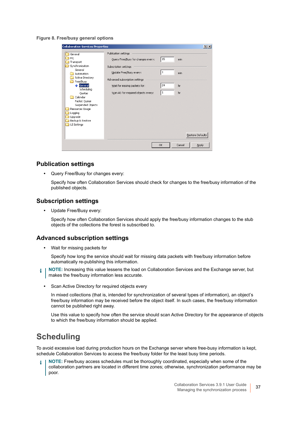**Figure 8. Free/busy general options**

| <b>Collaboration Services Properties</b>                                                                                            |                                                            |              | $?$ $\times$            |
|-------------------------------------------------------------------------------------------------------------------------------------|------------------------------------------------------------|--------------|-------------------------|
| General<br>HQ                                                                                                                       | Publication settings<br>Query Free/Busy for changes every: | 15           | min                     |
| Transport<br>Synchronization<br>General                                                                                             | Subscription settings                                      |              |                         |
| Automation<br>Active Directory<br>Free/Busy                                                                                         | Update Free/Busy every:<br>Advanced subscription settings  | 1            | min                     |
| $\Rightarrow$ General<br>Scheduling                                                                                                 | Wait for missing packets for:                              | 24           | hr                      |
| Quotas<br>Calendar<br>Packet Queue<br>Suspended Objects<br>Resources Usage<br>Logging<br>Upgrade<br>Backup & Restore<br>UI Settings | Scan AD for required objects every:                        | $\mathbf{1}$ | hr                      |
|                                                                                                                                     |                                                            |              | <b>Restore Defaults</b> |
|                                                                                                                                     |                                                            | OK           | Cancel<br>Apply         |

#### **Publication settings**

**•** Query Free/Busy for changes every:

Specify how often Collaboration Services should check for changes to the free/busy information of the published objects.

#### **Subscription settings**

**•** Update Free/Busy every:

Specify how often Collaboration Services should apply the free/busy information changes to the stub objects of the collections the forest is subscribed to.

#### **Advanced subscription settings**

**•** Wait for missing packets for

Specify how long the service should wait for missing data packets with free/busy information before automatically re-publishing this information.

- **NOTE:** Increasing this value lessens the load on Collaboration Services and the Exchange server, but ÷ makes the free/busy information less accurate.
	- **•** Scan Active Directory for required objects every

In mixed collections (that is, intended for synchronization of several types of information), an object's free/busy information may be received before the object itself. In such cases, the free/busy information cannot be published right away.

Use this value to specify how often the service should scan Active Directory for the appearance of objects to which the free/busy information should be applied.

### **Scheduling**

To avoid excessive load during production hours on the Exchange server where free-busy information is kept, schedule Collaboration Services to access the free/busy folder for the least busy time periods.

**NOTE:** Free/busy access schedules must be thoroughly coordinated, especially when some of the collaboration partners are located in different time zones; otherwise, synchronization performance may be poor.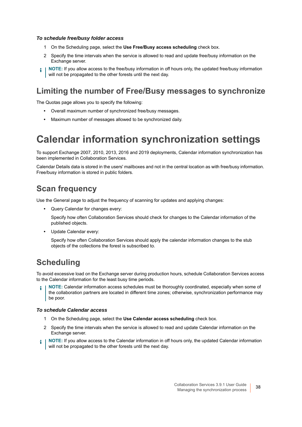#### *To schedule free/busy folder access*

- 1 On the Scheduling page, select the **Use Free/Busy access scheduling** check box.
- 2 Specify the time intervals when the service is allowed to read and update free/busy information on the Exchange server.
- **NOTE:** If you allow access to the free/busy information in off hours only, the updated free/busy information ÷ will not be propagated to the other forests until the next day.

### **Limiting the number of Free/Busy messages to synchronize**

The Quotas page allows you to specify the following:

- **•** Overall maximum number of synchronized free/busy messages.
- <span id="page-37-1"></span>**•** Maximum number of messages allowed to be synchronized daily.

### <span id="page-37-0"></span>**Calendar information synchronization settings**

To support Exchange 2007, 2010, 2013, 2016 and 2019 deployments, Calendar information synchronization has been implemented in Collaboration Services.

Calendar Details data is stored in the users' mailboxes and not in the central location as with free/busy information. Free/busy information is stored in public folders.

### **Scan frequency**

Use the General page to adjust the frequency of scanning for updates and applying changes:

**•** Query Calendar for changes every:

Specify how often Collaboration Services should check for changes to the Calendar information of the published objects.

**•** Update Calendar every:

Specify how often Collaboration Services should apply the calendar information changes to the stub objects of the collections the forest is subscribed to.

### **Scheduling**

To avoid excessive load on the Exchange server during production hours, schedule Collaboration Services access to the Calendar information for the least busy time periods.

**NOTE:** Calendar information access schedules must be thoroughly coordinated, especially when some of the collaboration partners are located in different time zones; otherwise, synchronization performance may be poor.

#### *To schedule Calendar access*

- 1 On the Scheduling page, select the **Use Calendar access scheduling** check box.
- 2 Specify the time intervals when the service is allowed to read and update Calendar information on the Exchange server.
- **NOTE:** If you allow access to the Calendar information in off hours only, the updated Calendar information ÷ will not be propagated to the other forests until the next day.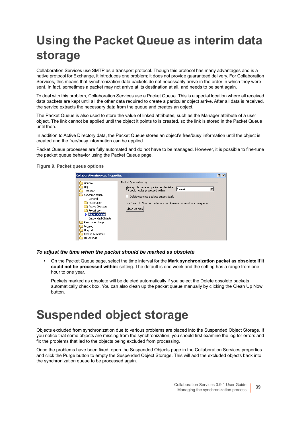# <span id="page-38-2"></span><span id="page-38-0"></span>**Using the Packet Queue as interim data storage**

Collaboration Services use SMTP as a transport protocol. Though this protocol has many advantages and is a native protocol for Exchange, it introduces one problem; it does not provide guaranteed delivery. For Collaboration Services, this means that synchronization data packets do not necessarily arrive in the order in which they were sent. In fact, sometimes a packet may not arrive at its destination at all, and needs to be sent again.

To deal with this problem, Collaboration Services use a Packet Queue. This is a special location where all received data packets are kept until all the other data required to create a particular object arrive. After all data is received, the service extracts the necessary data from the queue and creates an object.

The Packet Queue is also used to store the value of linked attributes, such as the Manager attribute of a user object. The link cannot be applied until the object it points to is created, so the link is stored in the Packet Queue until then.

In addition to Active Directory data, the Packet Queue stores an object's free/busy information until the object is created and the free/busy information can be applied.

Packet Queue processes are fully automated and do not have to be managed. However, it is possible to fine-tune the packet queue behavior using the Packet Queue page.

**Figure 9. Packet queue options**



#### *To adjust the time when the packet should be marked as obsolete*

**•** On the Packet Queue page, select the time interval for the **Mark synchronization packet as obsolete if it could not be processed within:** setting. The default is one week and the setting has a range from one hour to one year.

Packets marked as obsolete will be deleted automatically if you select the Delete obsolete packets automatically check box. You can also clean up the packet queue manually by clicking the Clean Up Now button.

## <span id="page-38-1"></span>**Suspended object storage**

Objects excluded from synchronization due to various problems are placed into the Suspended Object Storage. If you notice that some objects are missing from the synchronization, you should first examine the log for errors and fix the problems that led to the objects being excluded from processing.

Once the problems have been fixed, open the Suspended Objects page in the Collaboration Services properties and click the Purge button to empty the Suspended Object Storage. This will add the excluded objects back into the synchronization queue to be processed again.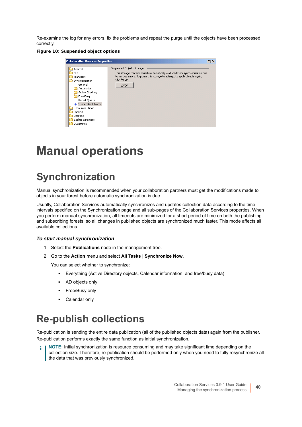Re-examine the log for any errors, fix the problems and repeat the purge until the objects have been processed correctly.

#### **Figure 10: Suspended object options**

| <b>Collaboration Services Properties</b>                                                                                                                                                                                 | ? x                                                                                                                                                                                                                |
|--------------------------------------------------------------------------------------------------------------------------------------------------------------------------------------------------------------------------|--------------------------------------------------------------------------------------------------------------------------------------------------------------------------------------------------------------------|
| General<br>HQ<br>Transport<br>Synchronization<br>General<br>Automation<br>Active Directory<br>Free/Busy<br>Packet Queue<br>Suspended Objects<br>Resources Usage<br>Logging<br>Upgrade<br>Backup & Restore<br>UI Settings | Suspended Objects Storage<br>This storage contains objects automatically excluded from synchronization due<br>to various errors. To purge this storage to attempt to apply objects again,<br>click Purge.<br>Purge |

## <span id="page-39-3"></span><span id="page-39-0"></span>**Manual operations**

### <span id="page-39-1"></span>**Synchronization**

Manual synchronization is recommended when your collaboration partners must get the modifications made to objects in your forest before automatic synchronization is due.

Usually, Collaboration Services automatically synchronizes and updates collection data according to the time intervals specified on the Synchronization page and all sub-pages of the Collaboration Services properties. When you perform manual synchronization, all timeouts are minimized for a short period of time on both the publishing and subscribing forests, so all changes in published objects are synchronized much faster. This mode affects all available collections.

#### *To start manual synchronization*

- 1 Select the **Publications** node in the management tree.
- 2 Go to the **Action** menu and select **All Tasks** | **Synchronize Now**.

You can select whether to synchronize:

- **▪** Everything (Active Directory objects, Calendar information, and free/busy data)
- **▪** AD objects only
- **▪** Free/Busy only
- **▪** Calendar only

### <span id="page-39-2"></span>**Re-publish collections**

Re-publication is sending the entire data publication (all of the published objects data) again from the publisher. Re-publication performs exactly the same function as initial synchronization.

**NOTE:** Initial synchronization is resource consuming and may take significant time depending on the ÷ collection size. Therefore, re-publication should be performed only when you need to fully resynchronize all the data that was previously synchronized.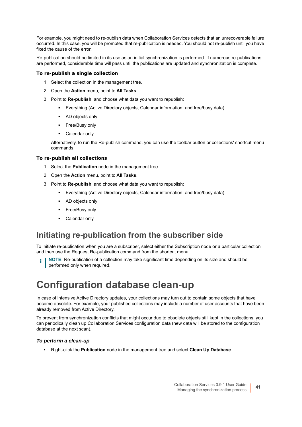For example, you might need to re-publish data when Collaboration Services detects that an unrecoverable failure occurred. In this case, you will be prompted that re-publication is needed. You should not re-publish until you have fixed the cause of the error.

Re-publication should be limited in its use as an initial synchronization is performed. If numerous re-publications are performed, considerable time will pass until the publications are updated and synchronization is complete.

#### *To re-publish a single collection*

- 1 Select the collection in the management tree.
- 2 Open the **Action** menu, point to **All Tasks**.
- 3 Point to **Re-publish**, and choose what data you want to republish:
	- **▪** Everything (Active Directory objects, Calendar information, and free/busy data)
	- **▪** AD objects only
	- **▪** Free/Busy only
	- **▪** Calendar only

Alternatively, to run the Re-publish command, you can use the toolbar button or collections' shortcut menu commands.

#### *To re-publish all collections*

- 1 Select the **Publication** node in the management tree.
- 2 Open the **Action** menu, point to **All Tasks**.
- 3 Point to **Re-publish**, and choose what data you want to republish:
	- **▪** Everything (Active Directory objects, Calendar information, and free/busy data)
	- **▪** AD objects only
	- **▪** Free/Busy only
	- **▪** Calendar only

### **Initiating re-publication from the subscriber side**

To initiate re-publication when you are a subscriber, select either the Subscription node or a particular collection and then use the Request Re-publication command from the shortcut menu.

<span id="page-40-1"></span>**NOTE:** Re-publication of a collection may take significant time depending on its size and should be performed only when required.

### <span id="page-40-0"></span>**Configuration database clean-up**

In case of intensive Active Directory updates, your collections may turn out to contain some objects that have become obsolete. For example, your published collections may include a number of user accounts that have been already removed from Active Directory.

To prevent from synchronization conflicts that might occur due to obsolete objects still kept in the collections, you can periodically clean up Collaboration Services configuration data (new data will be stored to the configuration database at the next scan).

#### *To perform a clean-up*

**•** Right-click the **Publication** node in the management tree and select **Clean Up Database**.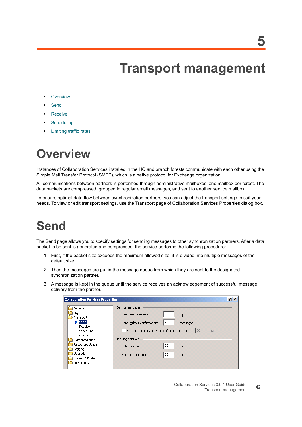**5**

# **Transport management**

- <span id="page-41-0"></span>**•** [Overview](#page-41-1)
- **•** [Send](#page-41-2)
- **•** [Receive](#page-42-0)
- **•** [Scheduling](#page-42-1)
- <span id="page-41-5"></span>**•** [Limiting traffic rates](#page-42-2)

# <span id="page-41-1"></span>**Overview**

Instances of Collaboration Services installed in the HQ and branch forests communicate with each other using the Simple Mail Transfer Protocol (SMTP), which is a native protocol for Exchange organization.

All communications between partners is performed through administrative mailboxes, one mailbox per forest. The data packets are compressed, grouped in regular email messages, and sent to another service mailbox.

To ensure optimal data flow between synchronization partners, you can adjust the transport settings to suit your needs. To view or edit transport settings, use the Transport page of Collaboration Services Properties dialog box.

# <span id="page-41-3"></span><span id="page-41-2"></span>**Send**

The Send page allows you to specify settings for sending messages to other synchronization partners. After a data packet to be sent is generated and compressed, the service performs the following procedure:

- 1 First, if the packet size exceeds the maximum allowed size, it is divided into multiple messages of the default size.
- 2 Then the messages are put in the message queue from which they are sent to the designated synchronization partner.
- 3 A message is kept in the queue until the service receives an acknowledgement of successful message delivery from the partner.

<span id="page-41-4"></span>

| <b>Collaboration Services Properties</b>                                                                                                                                     |                                                                                                                                                                                     |                                                      |          |  |
|------------------------------------------------------------------------------------------------------------------------------------------------------------------------------|-------------------------------------------------------------------------------------------------------------------------------------------------------------------------------------|------------------------------------------------------|----------|--|
| General<br>HQ<br>Transport<br>Sendi<br>Receive<br>Scheduling<br><b>Ouotas</b><br>Synchronization<br>Resources Usage<br>Logging<br>Upgrade<br>Backup & Restore<br>UI Settings | Service messages<br>Send messages every:<br>Send without confirmations:<br>Stop creating new messages if queue exceeds:<br>Message delivery<br>Initial timeout:<br>Maximum timeout: | 3<br>min<br>25<br>messages<br>20<br>min<br>80<br>min | 50<br>MB |  |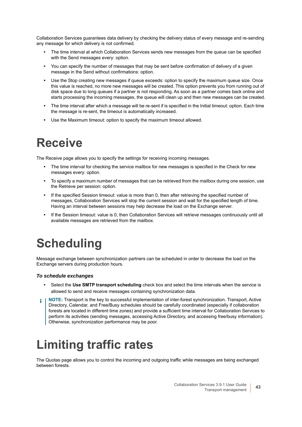Collaboration Services guarantees data delivery by checking the delivery status of every message and re-sending any message for which delivery is not confirmed.

- **•** The time interval at which Collaboration Services sends new messages from the queue can be specified with the Send messages every: option.
- **•** You can specify the number of messages that may be sent before confirmation of delivery of a given message in the Send without confirmations: option.
- **•** Use the Stop creating new messages if queue exceeds: option to specify the maximum queue size. Once this value is reached, no more new messages will be created. This option prevents you from running out of disk space due to long queues if a partner is not responding. As soon as a partner comes back online and starts processing the incoming messages, the queue will clean up and then new messages can be created.
- **•** The time interval after which a message will be re-sent if is specified in the Initial timeout: option. Each time the message is re-sent, the timeout is automatically increased.
- <span id="page-42-5"></span><span id="page-42-3"></span>**•** Use the Maximum timeout: option to specify the maximum timeout allowed.

# <span id="page-42-0"></span>**Receive**

The Receive page allows you to specify the settings for receiving incoming messages.

- **•** The time interval for checking the service mailbox for new messages is specified in the Check for new messages every: option.
- **•** To specify a maximum number of messages that can be retrieved from the mailbox during one session, use the Retrieve per session: option.
- **•** If the specified Session timeout: value is more than 0, then after retrieving the specified number of messages, Collaboration Services will stop the current session and wait for the specified length of time. Having an interval between sessions may help decrease the load on the Exchange server.
- <span id="page-42-6"></span>**•** If the Session timeout: value is 0, then Collaboration Services will retrieve messages continuously until all available messages are retrieved from the mailbox.

# <span id="page-42-1"></span>**Scheduling**

Message exchange between synchronization partners can be scheduled in order to decrease the load on the Exchange servers during production hours.

#### *To schedule exchanges*

- **•** Select the **Use SMTP transport scheduling** check box and select the time intervals when the service is allowed to send and receive messages containing synchronization data.
- **NOTE:** Transport is the key to successful implementation of inter-forest synchronization. Transport, Active Directory, Calendar, and Free/Busy schedules should be carefully coordinated (especially if collaboration forests are located in different time zones) and provide a sufficient time interval for Collaboration Services to perform its activities (sending messages, accessing Active Directory, and accessing free/busy information). Otherwise, synchronization performance may be poor.

# <span id="page-42-4"></span><span id="page-42-2"></span>**Limiting traffic rates**

The Quotas page allows you to control the incoming and outgoing traffic while messages are being exchanged between forests.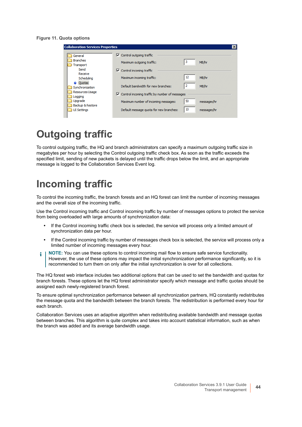#### **Figure 11. Quota options**

| <b>Collaboration Services Properties</b> |                                                                |    |             |
|------------------------------------------|----------------------------------------------------------------|----|-------------|
| General                                  | $\triangledown$ Control outgoing traffic                       |    |             |
| <b>Branches</b><br>Transport             | Maximum outgoing traffic:                                      | з  | MB/hr       |
| Send<br>Receive                          | $\nabla$ Control incoming traffic                              |    |             |
| Schedulina                               | Maximum incoming traffic:                                      | 12 | MB/hr       |
| <b>Ouotas</b><br>Synchronization         | Default bandwidth for new branches:                            | 2  | MB/hr       |
| Resources Usage<br>Logging               | $\triangledown$ Control incoming traffic by number of messages |    |             |
| Upgrade                                  | Maximum number of incoming messages:                           | 50 | messages/hr |
| Backup & Restore<br><b>UI Settings</b>   | Default message quota for new branches:                        | 10 | messages/hr |

## <span id="page-43-0"></span>**Outgoing traffic**

To control outgoing traffic, the HQ and branch administrators can specify a maximum outgoing traffic size in megabytes per hour by selecting the Control outgoing traffic check box. As soon as the traffic exceeds the specified limit, sending of new packets is delayed until the traffic drops below the limit, and an appropriate message is logged to the Collaboration Services Event log.

### <span id="page-43-1"></span>**Incoming traffic**

To control the incoming traffic, the branch forests and an HQ forest can limit the number of incoming messages and the overall size of the incoming traffic.

Use the Control incoming traffic and Control incoming traffic by number of messages options to protect the service from being overloaded with large amounts of synchronization data:

- **•** If the Control incoming traffic check box is selected, the service will process only a limited amount of synchronization data per hour.
- **•** If the Control incoming traffic by number of messages check box is selected, the service will process only a limited number of incoming messages every hour.
- **NOTE:** You can use these options to control incoming mail flow to ensure safe service functionality. ÷ However, the use of these options may impact the initial synchronization performance significantly, so it is recommended to turn them on only after the initial synchronization is over for all collections.

The HQ forest web interface includes two additional options that can be used to set the bandwidth and quotas for branch forests. These options let the HQ forest administrator specify which message and traffic quotas should be assigned each newly-registered branch forest.

To ensure optimal synchronization performance between all synchronization partners, HQ constantly redistributes the message quota and the bandwidth between the branch forests. The redistribution is performed every hour for each branch.

Collaboration Services uses an adaptive algorithm when redistributing available bandwidth and message quotas between branches. This algorithm is quite complex and takes into account statistical information, such as when the branch was added and its average bandwidth usage.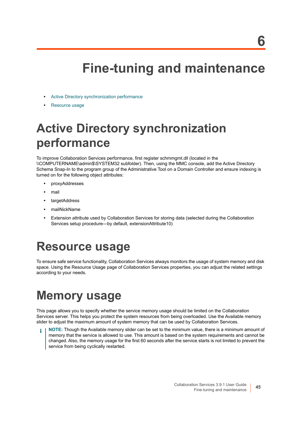# <span id="page-44-4"></span>**Fine-tuning and maintenance**

- <span id="page-44-0"></span>**•** [Active Directory synchronization performance](#page-44-1)
- **•** [Resource usage](#page-44-2)

# <span id="page-44-1"></span>**Active Directory synchronization performance**

To improve Collaboration Services performance, first register schmmgmt.dll (located in the \\COMPUTERNAME\admin\$\SYSTEM32 subfolder). Then, using the MMC console, add the Active Directory Schema Snap-In to the program group of the Administrative Tool on a Domain Controller and ensure indexing is turned on for the following object attributes:

- **•** proxyAddresses
- **•** mail
- **•** targetAddress
- **•** mailNickName
- **•** Extension attribute used by Collaboration Services for storing data (selected during the Collaboration Services setup procedure—by default, extensionAttribute10)

# <span id="page-44-2"></span>**Resource usage**

To ensure safe service functionality, Collaboration Services always monitors the usage of system memory and disk space. Using the Resource Usage page of Collaboration Services properties, you can adjust the related settings according to your needs.

# <span id="page-44-5"></span><span id="page-44-3"></span>**Memory usage**

This page allows you to specify whether the service memory usage should be limited on the Collaboration Services server. This helps you protect the system resources from being overloaded. Use the Available memory slider to adjust the maximum amount of system memory that can be used by Collaboration Services.

**NOTE:** Though the Available memory slider can be set to the minimum value, there is a minimum amount of memory that the service is allowed to use. This amount is based on the system requirements and cannot be changed. Also, the memory usage for the first 60 seconds after the service starts is not limited to prevent the service from being cyclically restarted.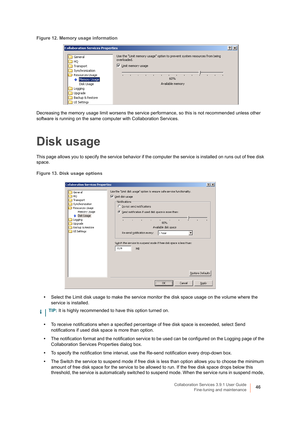**Figure 12. Memory usage information**

| <b>Collaboration Services Properties</b>                                                                                                                |                                                                                                                                                                                                                               | $ ?  \times$ |
|---------------------------------------------------------------------------------------------------------------------------------------------------------|-------------------------------------------------------------------------------------------------------------------------------------------------------------------------------------------------------------------------------|--------------|
| General<br>HQ<br>Transport<br>Synchronization<br>Resources Usage<br>Memory Usage<br>Disk Usage<br>Logging<br>Upgrade<br>Backup & Restore<br>UI Settings | Use the "Limit memory usage" option to prevent system resources from being<br>overloaded.<br>Limit memory usage<br>⊽<br>$\mathbf{r}$<br>$\blacksquare$<br>- 11<br>$\blacksquare$<br>$\blacksquare$<br>60%<br>Available memory |              |

Decreasing the memory usage limit worsens the service performance, so this is not recommended unless other software is running on the same computer with Collaboration Services.

# <span id="page-45-1"></span><span id="page-45-0"></span>**Disk usage**

This page allows you to specify the service behavior if the computer the service is installed on runs out of free disk space.

**Figure 13. Disk usage options**

| <b>Collaboration Services Properties</b>                                                                                                                  |                                                                                                                                                                                                                                                                                                                                                                                                                        | ? X   |
|-----------------------------------------------------------------------------------------------------------------------------------------------------------|------------------------------------------------------------------------------------------------------------------------------------------------------------------------------------------------------------------------------------------------------------------------------------------------------------------------------------------------------------------------------------------------------------------------|-------|
| General<br>HQ<br>Transport<br>Synchronization<br>Resources Usage<br>Memory Usage<br>→ Disk Usage<br>Logging<br>Upgrade<br>Backup & Restore<br>UI Settings | Use the "Limit disk usage" option to ensure safe service functionality.<br>Limit disk usage<br>⊽<br>Notifications<br>C Do not send notifications<br>• Send notification if used disk space is more than:<br>×.<br>$\mathbf{I}$<br>80%<br>Available disk space<br>Re-send notification every:<br>1 hour<br>Switch the service to suspend mode if free disk space is less than:<br>1024<br><b>MB</b><br>Restore Defaults |       |
|                                                                                                                                                           | <br>Cancel<br>OK                                                                                                                                                                                                                                                                                                                                                                                                       | Apply |

- **•** Select the Limit disk usage to make the service monitor the disk space usage on the volume where the service is installed.
- **TIP:** It is highly recommended to have this option turned on.
	- **•** To receive notifications when a specified percentage of free disk space is exceeded, select Send notifications if used disk space is more than option.
	- **•** The notification format and the notification service to be used can be configured on the Logging page of the Collaboration Services Properties dialog box.
	- **•** To specify the notification time interval, use the Re-send notification every drop-down box.
	- **•** The Switch the service to suspend mode if free disk is less than option allows you to choose the minimum amount of free disk space for the service to be allowed to run. If the free disk space drops below this threshold, the service is automatically switched to suspend mode. When the service runs in suspend mode,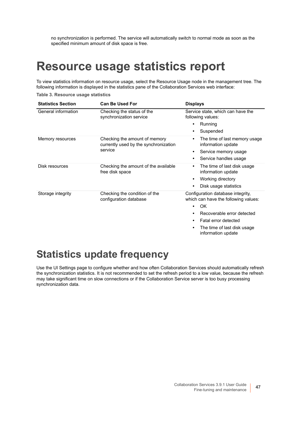<span id="page-46-2"></span>no synchronization is performed. The service will automatically switch to normal mode as soon as the specified minimum amount of disk space is free.

## <span id="page-46-0"></span>**Resource usage statistics report**

To view statistics information on resource usage, select the Resource Usage node in the management tree. The following information is displayed in the statistics pane of the Collaboration Services web interface:

**Table 3. Resource usage statistics**

| <b>Statistics Section</b> | <b>Can Be Used For</b>                                                            | <b>Displays</b>                                                                                                                                                                                                                        |
|---------------------------|-----------------------------------------------------------------------------------|----------------------------------------------------------------------------------------------------------------------------------------------------------------------------------------------------------------------------------------|
| General information       | Checking the status of the<br>synchronization service                             | Service state, which can have the<br>following values:<br>Running<br>٠<br>Suspended<br>٠                                                                                                                                               |
| Memory resources          | Checking the amount of memory<br>currently used by the synchronization<br>service | The time of last memory usage<br>$\bullet$<br>information update<br>Service memory usage<br>٠<br>Service handles usage<br>$\bullet$                                                                                                    |
| Disk resources            | Checking the amount of the available<br>free disk space                           | The time of last disk usage<br>٠<br>information update<br>Working directory<br>٠<br>Disk usage statistics                                                                                                                              |
| Storage integrity         | Checking the condition of the<br>configuration database                           | Configuration database integrity,<br>which can have the following values:<br>OK<br>٠<br>Recoverable error detected<br>$\bullet$<br>Fatal error detected<br>$\bullet$<br>The time of last disk usage<br>$\bullet$<br>information update |

### <span id="page-46-1"></span>**Statistics update frequency**

Use the UI Settings page to configure whether and how often Collaboration Services should automatically refresh the synchronization statistics. It is not recommended to set the refresh period to a low value, because the refresh may take significant time on slow connections or if the Collaboration Service server is too busy processing synchronization data.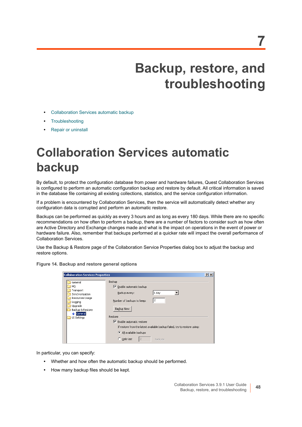# **Backup, restore, and troubleshooting**

- <span id="page-47-0"></span>**•** [Collaboration Services automatic backup](#page-47-1)
- **•** [Troubleshooting](#page-49-1)
- **•** [Repair or uninstall](#page-50-0)

# <span id="page-47-1"></span>**Collaboration Services automatic backup**

By default, to protect the configuration database from power and hardware failures, Quest Collaboration Services is configured to perform an automatic configuration backup and restore by default. All critical information is saved in the database file containing all existing collections, statistics, and the service configuration information.

If a problem is encountered by Collaboration Services, then the service will automatically detect whether any configuration data is corrupted and perform an automatic restore.

Backups can be performed as quickly as every 3 hours and as long as every 180 days. While there are no specific recommendations on how often to perform a backup, there are a number of factors to consider such as how often are Active Directory and Exchange changes made and what is the impact on operations in the event of power or hardware failure. Also, remember that backups performed at a quicker rate will impact the overall performance of Collaboration Services.

Use the Backup & Restore page of the Collaboration Service Properties dialog box to adjust the backup and restore options.

|  | Figure 14. Backup and restore general options |  |  |
|--|-----------------------------------------------|--|--|
|  |                                               |  |  |

| <b>Collaboration Services Properties</b>                                                                                             |                                                                                                                                                                                                                                                                                                                                       | $ ?  \times  $ |
|--------------------------------------------------------------------------------------------------------------------------------------|---------------------------------------------------------------------------------------------------------------------------------------------------------------------------------------------------------------------------------------------------------------------------------------------------------------------------------------|----------------|
| General<br>HQ<br>Transport<br>Synchronization<br>Resources Usage<br>Logging<br>Upgrade<br>Backup & Restore<br>Seneral<br>UI Settings | Backup<br>$\triangledown$ Enable automatic backup<br>1 day<br>Backup every:<br>2<br>Number of backups to keep:<br>Backup Now<br>Restore<br>$\triangledown$ Enable automatic restore<br>If restore from the latest available backup failed, try to restore using:<br>All available backups<br>$\overline{2}$<br>C Only last<br>backups |                |

In particular, you can specify:

- **•** Whether and how often the automatic backup should be performed.
- **•** How many backup files should be kept.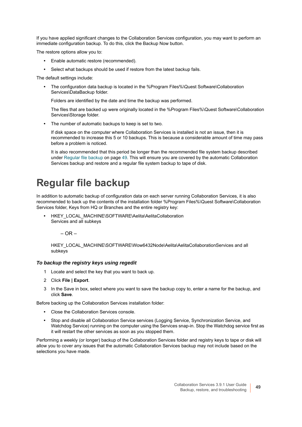If you have applied significant changes to the Collaboration Services configuration, you may want to perform an immediate configuration backup. To do this, click the Backup Now button.

The restore options allow you to:

- **•** Enable automatic restore (recommended).
- **•** Select what backups should be used if restore from the latest backup fails.

The default settings include:

**•** The configuration data backup is located in the %Program Files%\Quest Software\Collaboration Services\DataBackup folder.

Folders are identified by the date and time the backup was performed.

The files that are backed up were originally located in the %Program Files%\Quest Software\Collaboration Services\Storage folder.

**•** The number of automatic backups to keep is set to two.

If disk space on the computer where Collaboration Services is installed is not an issue, then it is recommended to increase this 5 or 10 backups. This is because a considerable amount of time may pass before a problem is noticed.

It is also recommended that this period be longer than the recommended file system backup described under [Regular file backup on page 49.](#page-48-0) This will ensure you are covered by the automatic Collaboration Services backup and restore and a regular file system backup to tape of disk.

## <span id="page-48-0"></span>**Regular file backup**

In addition to automatic backup of configuration data on each server running Collaboration Services, it is also recommended to back up the contents of the installation folder %Program Files%\Quest Software\Collaboration Services folder, Keys from HQ or Branches and the entire registry key:

**•** HKEY\_LOCAL\_MACHINE\SOFTWARE\Aelita\AelitaCollaboration Services and all subkeys

– OR –

HKEY\_LOCAL\_MACHINE\SOFTWARE\Wow6432Node\Aelita\AelitaCollaborationServices and all subkeys

#### *To backup the registry keys using regedit*

- 1 Locate and select the key that you want to back up.
- 2 Click **File | Export**.
- 3 In the Save in box, select where you want to save the backup copy to, enter a name for the backup, and click **Save**.

Before backing up the Collaboration Services installation folder:

- **•** Close the Collaboration Services console.
- **•** Stop and disable all Collaboration Service services (Logging Service, Synchronization Service, and Watchdog Service) running on the computer using the Services snap-in. Stop the Watchdog service first as it will restart the other services as soon as you stopped them.

Performing a weekly (or longer) backup of the Collaboration Services folder and registry keys to tape or disk will allow you to cover any issues that the automatic Collaboration Services backup may not include based on the selections you have made.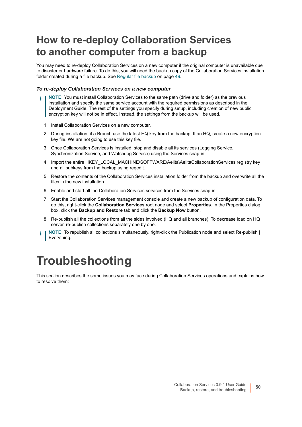## <span id="page-49-0"></span>**How to re-deploy Collaboration Services to another computer from a backup**

You may need to re-deploy Collaboration Services on a new computer if the original computer is unavailable due to disaster or hardware failure. To do this, you will need the backup copy of the Collaboration Services installation folder created during a file backup. See [Regular file backup on page 49](#page-48-0).

#### *To re-deploy Collaboration Services on a new computer*

- **NOTE:** You must install Collaboration Services to the same path (drive and folder) as the previous installation and specify the same service account with the required permissions as described in the Deployment Guide. The rest of the settings you specify during setup, including creation of new public encryption key will not be in effect. Instead, the settings from the backup will be used.
	- 1 Install Collaboration Services on a new computer.
	- 2 During installation, if a Branch use the latest HQ key from the backup. If an HQ, create a new encryption key file. We are not going to use this key file.
	- 3 Once Collaboration Services is installed, stop and disable all its services (Logging Service, Synchronization Service, and Watchdog Service) using the Services snap-in.
	- 4 Import the entire HKEY\_LOCAL\_MACHINE\SOFTWARE\Aelita\AelitaCollaborationServices registry key and all subkeys from the backup using regedit.
	- 5 Restore the contents of the Collaboration Services installation folder from the backup and overwrite all the files in the new installation.
	- 6 Enable and start all the Collaboration Services services from the Services snap-in.
	- 7 Start the Collaboration Services management console and create a new backup of configuration data. To do this, right-click the **Collaboration Services** root node and select **Properties**. In the Properties dialog box, click the **Backup and Restore** tab and click the **Backup Now** button.
	- 8 Re-publish all the collections from all the sides involved (HQ and all branches). To decrease load on HQ server, re-publish collections separately one by one.
- <span id="page-49-2"></span>**NOTE:** To republish all collections simultaneously, right-click the Publication node and select Re-publish | Everything.

# <span id="page-49-1"></span>**Troubleshooting**

This section describes the some issues you may face during Collaboration Services operations and explains how to resolve them: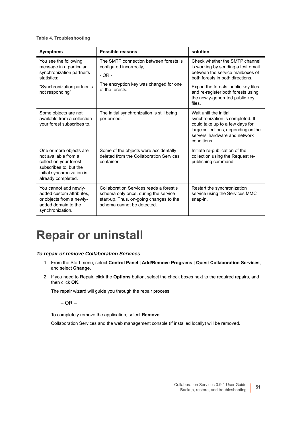#### **Table 4. Troubleshooting**

| <b>Symptoms</b>                                                                                                                                         | Possible reasons                                                                                                                                         | solution                                                                                                                                                                                                                                                               |
|---------------------------------------------------------------------------------------------------------------------------------------------------------|----------------------------------------------------------------------------------------------------------------------------------------------------------|------------------------------------------------------------------------------------------------------------------------------------------------------------------------------------------------------------------------------------------------------------------------|
| You see the following<br>message in a particular<br>synchronization partner's<br>statistics:<br>"Synchronization partner is<br>not responding"          | The SMTP connection between forests is<br>configured incorrectly,<br>$-OR -$<br>The encryption key was changed for one<br>of the forests.                | Check whether the SMTP channel<br>is working by sending a test email<br>between the service mailboxes of<br>both forests in both directions.<br>Export the forests' public key files<br>and re-register both forests using<br>the newly-generated public key<br>files. |
| Some objects are not<br>available from a collection<br>your forest subscribes to.                                                                       | The initial synchronization is still being<br>performed.                                                                                                 | Wait until the initial<br>synchronization is completed. It<br>could take up to a few days for<br>large collections, depending on the<br>servers' hardware and network<br>conditions.                                                                                   |
| One or more objects are<br>not available from a<br>collection your forest<br>subscribes to, but the<br>initial synchronization is<br>already completed. | Some of the objects were accidentally<br>deleted from the Collaboration Services<br>container.                                                           | Initiate re-publication of the<br>collection using the Request re-<br>publishing command.                                                                                                                                                                              |
| You cannot add newly-<br>added custom attributes.<br>or objects from a newly-<br>added domain to the<br>synchronization.                                | Collaboration Services reads a forest's<br>schema only once, during the service<br>start-up. Thus, on-going changes to the<br>schema cannot be detected. | Restart the synchronization<br>service using the Services MMC<br>snap-in.                                                                                                                                                                                              |

# <span id="page-50-1"></span><span id="page-50-0"></span>**Repair or uninstall**

#### *To repair or remove Collaboration Services*

- 1 From the Start menu, select **Control Panel | Add/Remove Programs | Quest Collaboration Services**, and select **Change**.
- 2 If you need to Repair, click the **Options** button, select the check boxes next to the required repairs, and then click **OK**.

The repair wizard will guide you through the repair process.

– OR –

To completely remove the application, select **Remove**.

Collaboration Services and the web management console (if installed locally) will be removed.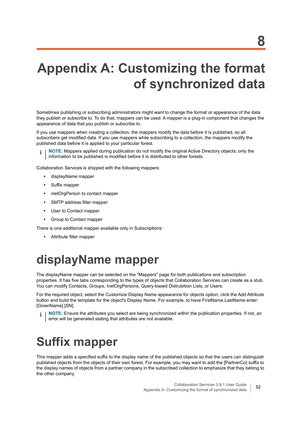# <span id="page-51-3"></span><span id="page-51-0"></span>**Appendix A: Customizing the format of synchronized data**

Sometimes publishing or subscribing administrators might want to change the format or appearance of the data they publish or subscribe to. To do that, mappers can be used. A mapper is a plug-in component that changes the appearance of data that you publish or subscribe to.

If you use mappers when creating a collection, the mappers modify the data before it is published, so all subscribers get modified data. If you use mappers while subscribing to a collection, the mappers modify the published data before it is applied to your particular forest.

**NOTE:** Mappers applied during publication do not modify the original Active Directory objects; only the information to be published is modified before it is distributed to other forests.

Collaboration Services is shipped with the following mappers:

- **•** displayName mapper
- **•** Suffix mapper
- **•** inetOrgPerson to contact mapper
- **•** SMTP address filter mapper
- **•** User to Contact mapper
- **•** Group to Contact mapper

There is one additional mapper available only in Subscriptions:

**•** Attribute filter mapper

## <span id="page-51-1"></span>**displayName mapper**

The displayName mapper can be selected on the "Mappers" page for both publications and subscription properties. It has five tabs corresponding to the types of objects that Collaboration Services can create as a stub. You can modify Contacts, Groups, InetOrgPersons, Query-based Distrubition Lists, or Users.

For the required object, select the Customize Display Name appearance for objects option, click the Add Attribute button and build the template for the object's Display Name. For example, to have FirstName.LastName enter: [GivenName].[SN].

<span id="page-51-5"></span><span id="page-51-4"></span>**NOTE:** Ensure the attributes you select are being synchronized within the publication properties. If not, an ÷ error will be generated stating that attributes are not available.

## <span id="page-51-2"></span>**Suffix mapper**

This mapper adds a specified suffix to the display name of the published objects so that the users can distinguish published objects from the objects of their own forest. For example, you may want to add the [PartnerCo] suffix to the display names of objects from a partner company in the subscribed collection to emphasize that they belong to the other company.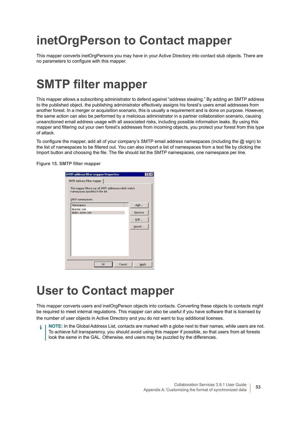# <span id="page-52-0"></span>**inetOrgPerson to Contact mapper**

This mapper converts inetOrgPersons you may have in your Active Directory into contact stub objects. There are no parameters to configure with this mapper.

## <span id="page-52-5"></span><span id="page-52-3"></span><span id="page-52-1"></span>**SMTP filter mapper**

This mapper allows a subscribing administrator to defend against "address stealing." By adding an SMTP address to the published object, the publishing administrator effectively assigns his forest's users email addresses from another forest. In a merger or acquisition scenario, this is usually a requirement and is done on purpose. However, the same action can also be performed by a malicious administrator in a partner collaboration scenario, causing unsanctioned email address usage with all associated risks, including possible information leaks. By using this mapper and filtering out your own forest's addresses from incoming objects, you protect your forest from this type of attack.

To configure the mapper, add all of your company's SMTP email address namespaces (including the @ sign) to the list of namespaces to be filtered out. You can also import a list of namespaces from a text file by clicking the Import button and choosing the file. The file should list the SMTP namespaces, one namespace per line.

**Figure 15. SMTP filter mapper**

| <b>SMTP address filter mapper Properties</b>                                                                    |        |  |  |  |  |
|-----------------------------------------------------------------------------------------------------------------|--------|--|--|--|--|
| SMTP Address Filter mapper                                                                                      |        |  |  |  |  |
| This mapper filters out all SMTP addresses which match<br>namespaces specified in the list.<br>SMTP namespaces: |        |  |  |  |  |
| Namespace                                                                                                       | Add    |  |  |  |  |
| @acme.com<br>@dev.acme.com                                                                                      | Remove |  |  |  |  |
|                                                                                                                 | Edit   |  |  |  |  |
|                                                                                                                 | Import |  |  |  |  |
|                                                                                                                 |        |  |  |  |  |
|                                                                                                                 |        |  |  |  |  |
|                                                                                                                 |        |  |  |  |  |
|                                                                                                                 |        |  |  |  |  |
| Cancel<br>OK                                                                                                    | Apply  |  |  |  |  |

# <span id="page-52-6"></span><span id="page-52-4"></span><span id="page-52-2"></span>**User to Contact mapper**

This mapper converts users and inetOrgPerson objects into contacts. Converting these objects to contacts might be required to meet internal regulations. This mapper can also be useful if you have software that is licensed by the number of user objects in Active Directory and you do not want to buy additional licenses.

**NOTE:** In the Global Address List, contacts are marked with a globe next to their names, while users are not. To achieve full transparency, you should avoid using this mapper if possible, so that users from all forests look the same in the GAL. Otherwise, end users may be puzzled by the differences.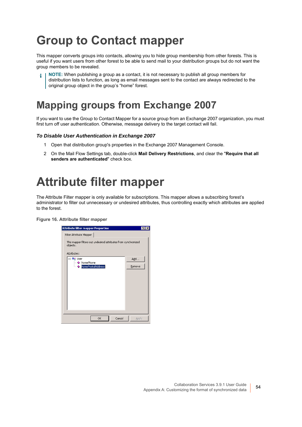# <span id="page-53-7"></span><span id="page-53-5"></span><span id="page-53-0"></span>**Group to Contact mapper**

This mapper converts groups into contacts, allowing you to hide group membership from other forests. This is useful if you want users from other forest to be able to send mail to your distribution groups but do not want the group members to be revealed.

**NOTE:** When publishing a group as a contact, it is not necessary to publish all group members for ÷. distribution lists to function, as long as email messages sent to the contact are always redirected to the original group object in the group's "home" forest.

## <span id="page-53-4"></span><span id="page-53-1"></span>**Mapping groups from Exchange 2007**

If you want to use the Group to Contact Mapper for a source group from an Exchange 2007 organization, you must first turn off user authentication. Otherwise, message delivery to the target contact will fail.

#### *To Disable User Authentication in Exchange 2007*

- 1 Open that distribution group's properties in the Exchange 2007 Management Console.
- <span id="page-53-6"></span><span id="page-53-3"></span>2 On the Mail Flow Settings tab, double-click **Mail Delivery Restrictions**, and clear the "**Require that all senders are authenticated**" check box.

## <span id="page-53-2"></span>**Attribute filter mapper**

The Attribute Filter mapper is only available for subscriptions. This mapper allows a subscribing forest's administrator to filter out unnecessary or undesired attributes, thus controlling exactly which attributes are applied to the forest.

**Figure 16. Attribute filter mapper**

| <b>Attribute filter mapper Properties</b>                                  |        |
|----------------------------------------------------------------------------|--------|
| Filter Attribute Mapper                                                    |        |
| This mapper filters out undesired attributes from synchronized<br>objects. |        |
| Attributes:                                                                |        |
| ⊟ <sup>…⊟</sup> n¦ User                                                    | Add    |
| homePhone<br>homePostalAddress                                             | Remove |
|                                                                            |        |
|                                                                            |        |
|                                                                            |        |
|                                                                            |        |
|                                                                            |        |
|                                                                            |        |
|                                                                            |        |
|                                                                            |        |
| Cancel<br>OK                                                               | Apply  |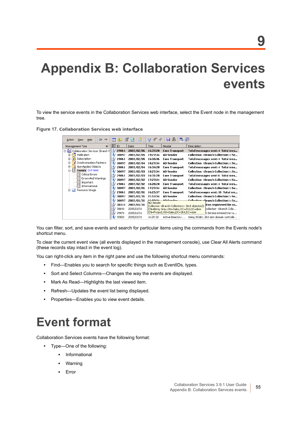# <span id="page-54-2"></span><span id="page-54-0"></span>**Appendix B: Collaboration Services events**

To view the service events in the Collaboration Services web interface, select the Event node in the management tree.

**Figure 17. Collaboration Services web interface**

| $\Leftarrow$<br>Help<br>Action<br><b>View</b>           | m<br>IП<br>lle: | 嵧<br>lа    | ÷<br>≁<br>77                 | ―― 説 同 子<br>Ы                                                |             |                                                         |
|---------------------------------------------------------|-----------------|------------|------------------------------|--------------------------------------------------------------|-------------|---------------------------------------------------------|
| Management Tree<br>$\times$                             | 貆<br>ID         | Date       | Time                         | Header                                                       | Description |                                                         |
| <b>An</b> Collaboration Services (Branch F              | 'nν<br>29861    | 2005/02/06 | 16:37:20                     | <b>Core Transport</b>                                        |             | Total messages sent: 4 Total mes                        |
| <b>E</b> Publication                                    | 30897           | 2005/02/05 | 19:27:34                     | AD Sender                                                    |             | Collection <branch collection="">: Se</branch>          |
| Subscription<br>圧                                       | 29861           | 2005/02/05 | 16:35:36                     | <b>Core Transport</b>                                        |             | Total messages sent: 4 Total mes                        |
| Synchronization Partners                                | 30897           | 2005/02/04 | 18:27:34                     | <b>AD Sender</b>                                             |             | Collection <branch collection="">: Se</branch>          |
| Non-Applied Objects<br>最                                | 29861           | 2005/02/04 | 16:34:20                     | <b>Core Transport</b>                                        |             | Total messages sent: 4  Total mes                       |
| $\Box$   } Events (14 new)                              | 30897           | 2005/02/03 | 18:27:34                     | <b>AD Sender</b>                                             |             | Collection <branch collection="">: Se</branch>          |
| ▒ Critical Errors                                       | 29861           | 2005/02/03 | 16:31:20                     | <b>Core Transport</b>                                        |             | Total messages sent: 6 Total mes                        |
| Errors And Warnings                                     | 30897           | 2005/02/02 | 17:27:34                     | <b>AD Sender</b>                                             |             | Collection <branch collection="">: Se</branch>          |
| Important<br>$\left  \ldots \right $<br>Informational   | 29861           | 2005/02/02 | 16:28:20                     | <b>Core Transport</b>                                        |             | Total messages sent: 4 Total mes                        |
| Resource Usage<br>$\lVert \cdot \rVert$<br>$\mathbf{F}$ | 30897           | 2005/02/01 | 17:27:34                     | <b>AD Sender</b>                                             |             | Collection <branch collection="">: Se</branch>          |
|                                                         | 29861           | 2005/02/01 | 16:25:37                     | <b>Core Transport</b>                                        |             | Total messages sent: 16  Total me                       |
|                                                         | 30897           | 2005/01/31 | 21:57:34                     | AD Sender                                                    |             | Collection <branch collection="">: Se</branch>          |
|                                                         | 30897           | 2005/01/31 | 16.50.24<br><b>AD</b> Sender | AD Condor                                                    |             | <del>Collection &lt; B</del> ranch Collection>: Se      |
|                                                         | 38514           | 2005/01/31 |                              | Collection <branch collection="">: Sent objects(2):</branch> |             | tion registered for co                                  |
|                                                         | 38640<br>n      | 2005/01/31 |                              | CN=Betsy Gray, OU=Sales, DC=2k3, DC=dom                      |             | collection <branch colle…<="" th=""></branch>           |
|                                                         | 15473<br>n      | 2005/01/31 |                              | CN=Project,OU=Sales,DC=2k3,DC=dom                            |             | h Service entered the ru                                |
|                                                         | i<br>30920      | 2005/01/31 | 16:25:32                     |                                                              |             | Active Directory  Using 2k3dc1.2k3.dom domain controlle |

You can filter, sort, and save events and search for particular items using the commands from the Events node's shortcut menu.

To clear the current event view (all events displayed in the management console), use Clear All Alerts command (these records stay intact in the event log).

You can right-click any item in the right pane and use the following shortcut menu commands:

- **•** Find—Enables you to search for specific things such as EventIDs, types.
- **•** Sort and Select Columns—Changes the way the events are displayed.
- **•** Mark As Read—Highlights the last viewed item.
- **•** Refresh—Updates the event list being displayed.
- **•** Properties—Enables you to view event details.

## <span id="page-54-1"></span>**Event format**

Collaboration Services events have the following format:

- **•** Type—One of the following:
	- **▪** Informational
	- **▪** Warning
	- **▪** Error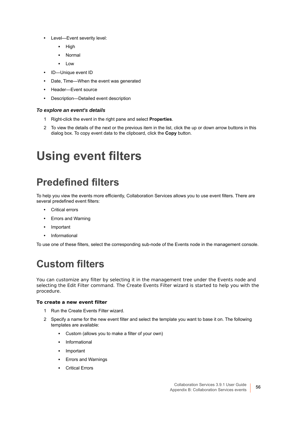- **•** Level—Event severity level:
	- **▪** High
	- **▪** Normal
	- **▪** Low
- **•** ID—Unique event ID
- **•** Date, Time—When the event was generated
- **•** Header—Event source
- **•** Description—Detailed event description

#### *To explore an event's details*

- 1 Right-click the event in the right pane and select **Properties**.
- 2 To view the details of the next or the previous item in the list, click the up or down arrow buttons in this dialog box. To copy event data to the clipboard, click the **Copy** button.

# <span id="page-55-0"></span>**Using event filters**

## <span id="page-55-1"></span>**Predefined filters**

To help you view the events more efficiently, Collaboration Services allows you to use event filters. There are several predefined event filters:

- **•** Critical errors
- **•** Errors and Warning
- **•** Important
- **•** Informational

To use one of these filters, select the corresponding sub-node of the Events node in the management console.

## <span id="page-55-2"></span>**Custom filters**

You can customize any filter by selecting it in the management tree under the Events node and selecting the Edit Filter command. The Create Events Filter wizard is started to help you with the procedure.

#### *To create a new event filter*

- 1 Run the Create Events Filter wizard.
- 2 Specify a name for the new event filter and select the template you want to base it on. The following templates are available:
	- **▪** Custom (allows you to make a filter of your own)
	- **▪** Informational
	- **▪** Important
	- **▪** Errors and Warnings
	- **▪** Critical Errors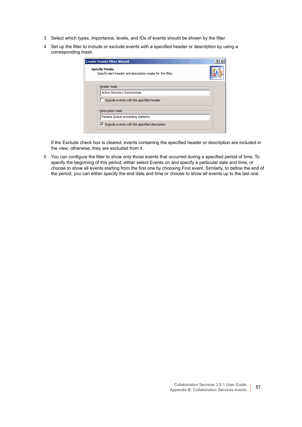- 3 Select which types, importance, levels, and IDs of events should be shown by the filter.
- 4 Set up the filter to include or exclude events with a specified header or description by using a corresponding mask.

| <b>Create Events Filter Wizard</b>                                                                                       |  |
|--------------------------------------------------------------------------------------------------------------------------|--|
| <b>Specify Masks</b><br>Specify alert header and description masks for the filter.                                       |  |
| Header mask<br>Active Directory Synchronizer<br>$\Box$ Exclude events with the specified header                          |  |
| Description mask<br>Packets Queue processing statistics<br>$\triangledown$ Exclude events with the specified description |  |

If the Exclude check box is cleared, events containing the specified header or description are included in the view; otherwise, they are excluded from it.

5 You can configure the filter to show only those events that occurred during a specified period of time. To specify the beginning of this period, either select Events on and specify a particular date and time, or choose to show all events starting from the first one by choosing First event. Similarly, to define the end of the period, you can either specify the end date and time or choose to show all events up to the last one.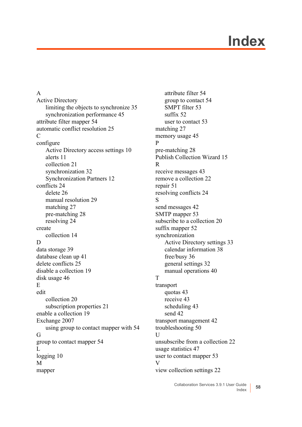# **Index**

#### <span id="page-57-0"></span>A

Active Directory [limiting the objects to synchronize 35](#page-34-0) [synchronization performance 45](#page-44-4) [attribute filter mapper 54](#page-53-3) [automatic conflict resolution 25](#page-24-2) C configure [Active Directory access settings 10](#page-9-3) [alerts 11](#page-10-2) [collection 21](#page-20-1) [synchronization 32](#page-31-4) [Synchronization Partners 12](#page-11-2) [conflicts 24](#page-23-4) [delete 26](#page-25-0) [manual resolution 29](#page-28-2) [matching 27](#page-26-1) [pre-matching 28](#page-27-1) [resolving 24](#page-23-5) create [collection 14](#page-13-3) D [data storage 39](#page-38-2) [database clean up 41](#page-40-1) [delete conflicts 25](#page-24-3) [disable a collection 19](#page-18-1) [disk usage 46](#page-45-1) E edit [collection 20](#page-19-2) [subscription properties 21](#page-20-2) [enable a collection 19](#page-18-2) Exchange 2007 [using group to contact mapper with 54](#page-53-4) G [group to contact mapper 54](#page-53-5) L [logging 10](#page-9-4) M mapper

[attribute filter 54](#page-53-6) [group to contact 54](#page-53-7) [SMPT filter 53](#page-52-3) [suffix 52](#page-51-4) [user to contact 53](#page-52-4) [matching 27](#page-26-2) [memory usage 45](#page-44-5) P [pre-matching 28](#page-27-2) [Publish Collection Wizard 15](#page-14-1) R [receive messages 43](#page-42-3) [remove a collection 22](#page-21-3) [repair 51](#page-50-1) [resolving conflicts 24](#page-23-6) S [send messages 42](#page-41-3) [SMTP mapper 53](#page-52-5) [subscribe to a collection 20](#page-19-3) [suffix mapper 52](#page-51-5) synchronization [Active Directory settings 33](#page-32-1) [calendar information 38](#page-37-1) [free/busy 36](#page-35-1) [general settings 32](#page-31-5) [manual operations 40](#page-39-3) T transport [quotas 43](#page-42-4) [receive 43](#page-42-5) [scheduling 43](#page-42-6) [send 42](#page-41-4) [transport management 42](#page-41-5) [troubleshooting 50](#page-49-2) U [unsubscribe from a collection 22](#page-21-4) [usage statistics 47](#page-46-2) [user to contact mapper 53](#page-52-6) V [view collection settings 22](#page-21-5)

> Collaboration Services 3.9.1 User Guide Index **<sup>58</sup>**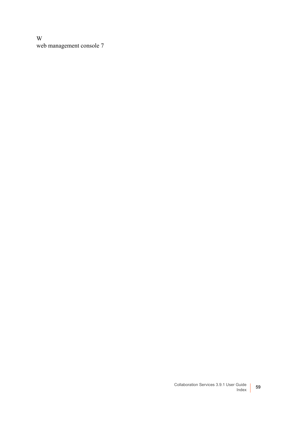W [web management console 7](#page-6-1)